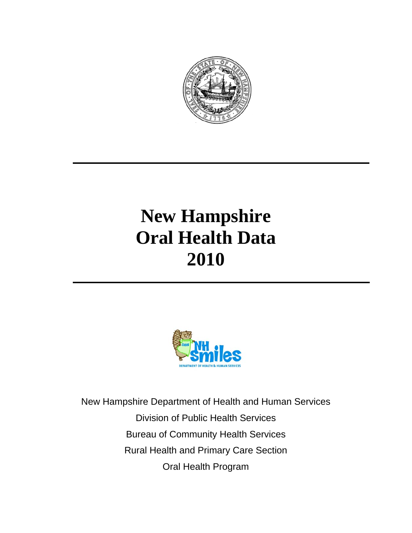

# **New Hampshire Oral Health Data 2010**



New Hampshire Department of Health and Human Services Division of Public Health Services Bureau of Community Health Services Rural Health and Primary Care Section Oral Health Program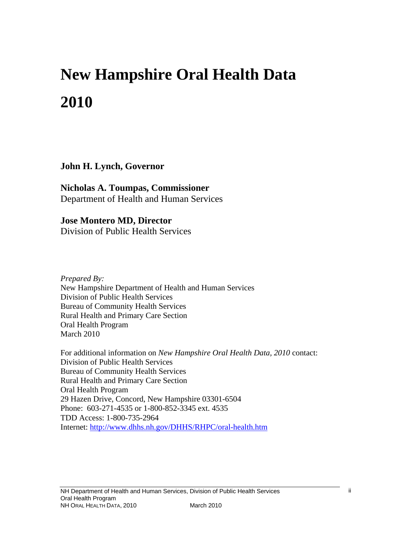# **New Hampshire Oral Health Data 2010**

**John H. Lynch, Governor** 

**Nicholas A. Toumpas, Commissioner**  Department of Health and Human Services

**Jose Montero MD, Director**  Division of Public Health Services

*Prepared By:* New Hampshire Department of Health and Human Services Division of Public Health Services Bureau of Community Health Services Rural Health and Primary Care Section Oral Health Program March 2010

For additional information on *New Hampshire Oral Health Data, 2010* contact: Division of Public Health Services Bureau of Community Health Services Rural Health and Primary Care Section Oral Health Program 29 Hazen Drive, Concord, New Hampshire 03301-6504 Phone: 603-271-4535 or 1-800-852-3345 ext. 4535 TDD Access: 1-800-735-2964 Internet: <http://www.dhhs.nh.gov/DHHS/RHPC/oral-health.htm>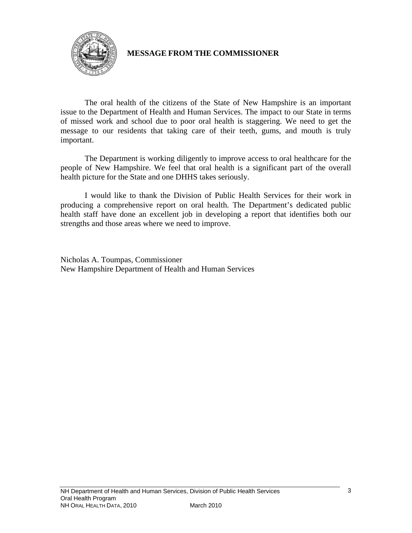

# **MESSAGE FROM THE COMMISSIONER**

The oral health of the citizens of the State of New Hampshire is an important issue to the Department of Health and Human Services. The impact to our State in terms of missed work and school due to poor oral health is staggering. We need to get the message to our residents that taking care of their teeth, gums, and mouth is truly important.

The Department is working diligently to improve access to oral healthcare for the people of New Hampshire. We feel that oral health is a significant part of the overall health picture for the State and one DHHS takes seriously.

I would like to thank the Division of Public Health Services for their work in producing a comprehensive report on oral health. The Department's dedicated public health staff have done an excellent job in developing a report that identifies both our strengths and those areas where we need to improve.

Nicholas A. Toumpas, Commissioner New Hampshire Department of Health and Human Services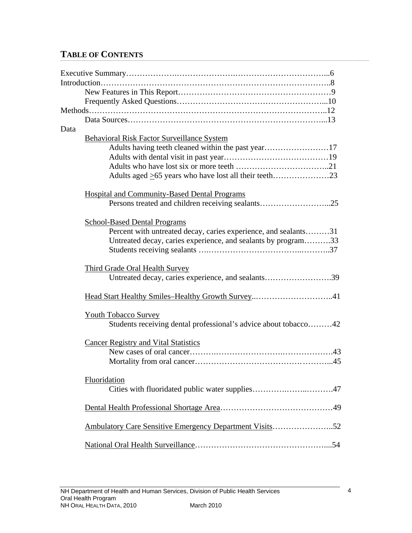# **TABLE OF CONTENTS**

| Data |                                                                 |
|------|-----------------------------------------------------------------|
|      | <b>Behavioral Risk Factor Surveillance System</b>               |
|      | Adults having teeth cleaned within the past year17              |
|      |                                                                 |
|      |                                                                 |
|      |                                                                 |
|      | <b>Hospital and Community-Based Dental Programs</b>             |
|      |                                                                 |
|      | <b>School-Based Dental Programs</b>                             |
|      | Percent with untreated decay, caries experience, and sealants31 |
|      | Untreated decay, caries experience, and sealants by program33   |
|      |                                                                 |
|      | <b>Third Grade Oral Health Survey</b>                           |
|      | Untreated decay, caries experience, and sealants39              |
|      | Head Start Healthy Smiles-Healthy Growth Survey41               |
|      | <b>Youth Tobacco Survey</b>                                     |
|      | Students receiving dental professional's advice about tobacco42 |
|      | <b>Cancer Registry and Vital Statistics</b>                     |
|      |                                                                 |
|      |                                                                 |
|      | Fluoridation                                                    |
|      | Cities with fluoridated public water supplies47                 |
|      |                                                                 |
|      | Ambulatory Care Sensitive Emergency Department Visits52         |
|      |                                                                 |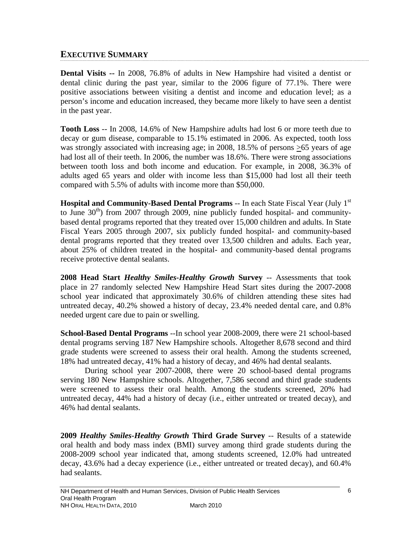## **EXECUTIVE SUMMARY**

**Dental Visits --** In 2008, 76.8% of adults in New Hampshire had visited a dentist or dental clinic during the past year, similar to the 2006 figure of 77.1%. There were positive associations between visiting a dentist and income and education level; as a person's income and education increased, they became more likely to have seen a dentist in the past year.

**Tooth Loss** -- In 2008, 14.6% of New Hampshire adults had lost 6 or more teeth due to decay or gum disease, comparable to 15.1% estimated in 2006. As expected, tooth loss was strongly associated with increasing age; in 2008, 18.5% of persons  $\geq 65$  years of age had lost all of their teeth. In 2006, the number was 18.6%. There were strong associations between tooth loss and both income and education. For example, in 2008, 36.3% of adults aged 65 years and older with income less than \$15,000 had lost all their teeth compared with 5.5% of adults with income more than \$50,000.

**Hospital and Community-Based Dental Programs -- In each State Fiscal Year (July 1<sup>st</sup>)** to June  $30<sup>th</sup>$ ) from 2007 through 2009, nine publicly funded hospital- and communitybased dental programs reported that they treated over 15,000 children and adults. In State Fiscal Years 2005 through 2007, six publicly funded hospital- and community-based dental programs reported that they treated over 13,500 children and adults. Each year, about 25% of children treated in the hospital- and community-based dental programs receive protective dental sealants.

**2008 Head Start** *Healthy Smiles-Healthy Growth* **Survey** -- Assessments that took place in 27 randomly selected New Hampshire Head Start sites during the 2007-2008 school year indicated that approximately 30.6% of children attending these sites had untreated decay, 40.2% showed a history of decay, 23.4% needed dental care, and 0.8% needed urgent care due to pain or swelling.

**School-Based Dental Programs** --In school year 2008-2009, there were 21 school-based dental programs serving 187 New Hampshire schools. Altogether 8,678 second and third grade students were screened to assess their oral health. Among the students screened, 18% had untreated decay, 41% had a history of decay, and 46% had dental sealants.

 During school year 2007-2008, there were 20 school-based dental programs serving 180 New Hampshire schools. Altogether, 7,586 second and third grade students were screened to assess their oral health. Among the students screened, 20% had untreated decay, 44% had a history of decay (i.e., either untreated or treated decay), and 46% had dental sealants.

**2009** *Healthy Smiles-Healthy Growth* **Third Grade Survey** -- Results of a statewide oral health and body mass index (BMI) survey among third grade students during the 2008-2009 school year indicated that, among students screened, 12.0% had untreated decay, 43.6% had a decay experience (i.e., either untreated or treated decay), and 60.4% had sealants.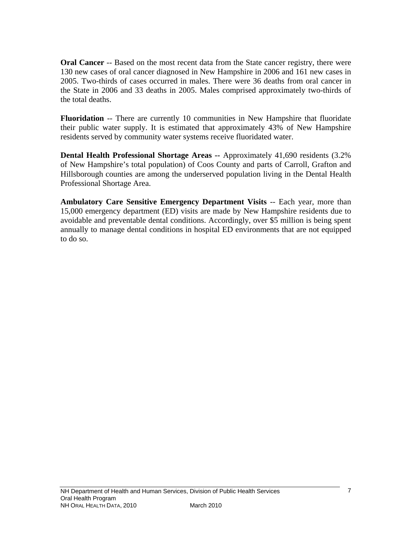**Oral Cancer** -- Based on the most recent data from the State cancer registry, there were 130 new cases of oral cancer diagnosed in New Hampshire in 2006 and 161 new cases in 2005. Two-thirds of cases occurred in males. There were 36 deaths from oral cancer in the State in 2006 and 33 deaths in 2005. Males comprised approximately two-thirds of the total deaths.

**Fluoridation** -- There are currently 10 communities in New Hampshire that fluoridate their public water supply. It is estimated that approximately 43% of New Hampshire residents served by community water systems receive fluoridated water.

**Dental Health Professional Shortage Areas --** Approximately 41,690 residents (3.2% of New Hampshire's total population) of Coos County and parts of Carroll, Grafton and Hillsborough counties are among the underserved population living in the Dental Health Professional Shortage Area.

**Ambulatory Care Sensitive Emergency Department Visits** -- Each year, more than 15,000 emergency department (ED) visits are made by New Hampshire residents due to avoidable and preventable dental conditions. Accordingly, over \$5 million is being spent annually to manage dental conditions in hospital ED environments that are not equipped to do so.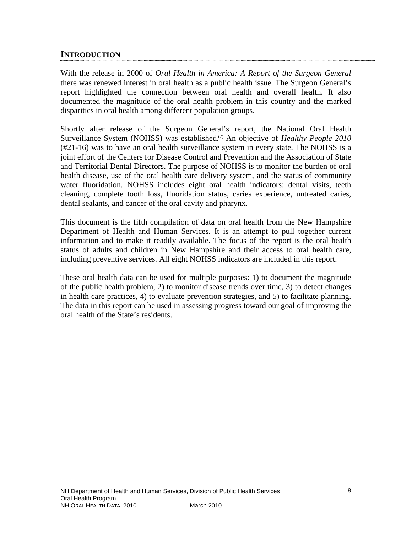## **INTRODUCTION**

With the release in 2000 of *Oral Health in America: A Report of the Surgeon General*  there was renewed interest in oral health as a public health issue. The Surgeon General's report highlighted the connection between oral health and overall health. It also documented the magnitude of the oral health problem in this country and the marked disparities in oral health among different population groups.

Shortly after release of the Surgeon General's report, the National Oral Health Surveillance System (NOHSS) was established.<sup>(2)</sup> An objective of *Healthy People 2010* (#21-16) was to have an oral health surveillance system in every state. The NOHSS is a joint effort of the Centers for Disease Control and Prevention and the Association of State and Territorial Dental Directors. The purpose of NOHSS is to monitor the burden of oral health disease, use of the oral health care delivery system, and the status of community water fluoridation. NOHSS includes eight oral health indicators: dental visits, teeth cleaning, complete tooth loss, fluoridation status, caries experience, untreated caries, dental sealants, and cancer of the oral cavity and pharynx.

This document is the fifth compilation of data on oral health from the New Hampshire Department of Health and Human Services. It is an attempt to pull together current information and to make it readily available. The focus of the report is the oral health status of adults and children in New Hampshire and their access to oral health care, including preventive services. All eight NOHSS indicators are included in this report.

These oral health data can be used for multiple purposes: 1) to document the magnitude of the public health problem, 2) to monitor disease trends over time, 3) to detect changes in health care practices, 4) to evaluate prevention strategies, and 5) to facilitate planning. The data in this report can be used in assessing progress toward our goal of improving the oral health of the State's residents.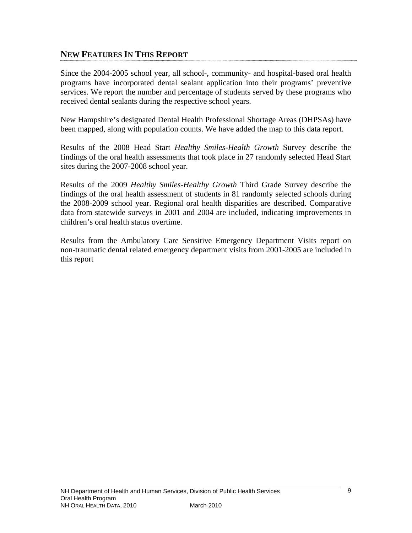# **NEW FEATURES IN THIS REPORT**

Since the 2004-2005 school year, all school-, community- and hospital-based oral health programs have incorporated dental sealant application into their programs' preventive services. We report the number and percentage of students served by these programs who received dental sealants during the respective school years.

New Hampshire's designated Dental Health Professional Shortage Areas (DHPSAs) have been mapped, along with population counts. We have added the map to this data report.

Results of the 2008 Head Start *Healthy Smiles-Health Growth* Survey describe the findings of the oral health assessments that took place in 27 randomly selected Head Start sites during the 2007-2008 school year.

Results of the 2009 *Healthy Smiles-Healthy Growth* Third Grade Survey describe the findings of the oral health assessment of students in 81 randomly selected schools during the 2008-2009 school year. Regional oral health disparities are described. Comparative data from statewide surveys in 2001 and 2004 are included, indicating improvements in children's oral health status overtime.

Results from the Ambulatory Care Sensitive Emergency Department Visits report on non-traumatic dental related emergency department visits from 2001-2005 are included in this report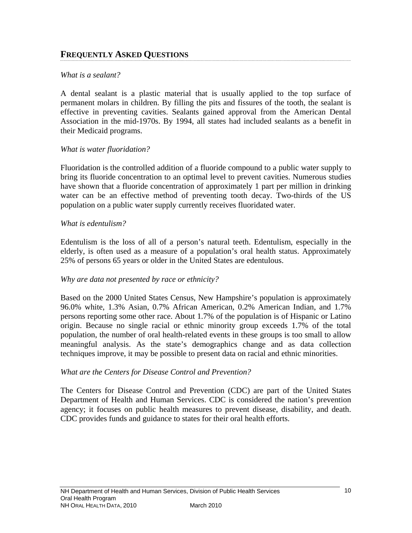# **FREQUENTLY ASKED QUESTIONS**

#### *What is a sealant?*

A dental sealant is a plastic material that is usually applied to the top surface of permanent molars in children. By filling the pits and fissures of the tooth, the sealant is effective in preventing cavities. Sealants gained approval from the American Dental Association in the mid-1970s. By 1994, all states had included sealants as a benefit in their Medicaid programs.

#### *What is water fluoridation?*

Fluoridation is the controlled addition of a fluoride compound to a public water supply to bring its fluoride concentration to an optimal level to prevent cavities. Numerous studies have shown that a fluoride concentration of approximately 1 part per million in drinking water can be an effective method of preventing tooth decay. Two-thirds of the US population on a public water supply currently receives fluoridated water.

#### *What is edentulism?*

Edentulism is the loss of all of a person's natural teeth. Edentulism, especially in the elderly, is often used as a measure of a population's oral health status. Approximately 25% of persons 65 years or older in the United States are edentulous.

#### *Why are data not presented by race or ethnicity?*

Based on the 2000 United States Census, New Hampshire's population is approximately 96.0% white, 1.3% Asian, 0.7% African American, 0.2% American Indian, and 1.7% persons reporting some other race. About 1.7% of the population is of Hispanic or Latino origin. Because no single racial or ethnic minority group exceeds 1.7% of the total population, the number of oral health-related events in these groups is too small to allow meaningful analysis. As the state's demographics change and as data collection techniques improve, it may be possible to present data on racial and ethnic minorities.

#### *What are the Centers for Disease Control and Prevention?*

The Centers for Disease Control and Prevention (CDC) are part of the United States Department of Health and Human Services. CDC is considered the nation's prevention agency; it focuses on public health measures to prevent disease, disability, and death. CDC provides funds and guidance to states for their oral health efforts.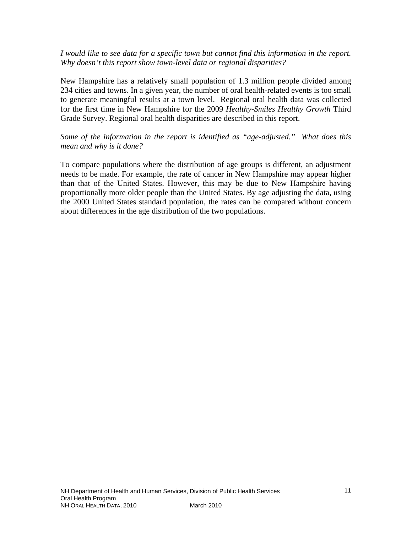*I would like to see data for a specific town but cannot find this information in the report. Why doesn't this report show town-level data or regional disparities?* 

New Hampshire has a relatively small population of 1.3 million people divided among 234 cities and towns. In a given year, the number of oral health-related events is too small to generate meaningful results at a town level. Regional oral health data was collected for the first time in New Hampshire for the 2009 *Healthy-Smiles Healthy Growth* Third Grade Survey. Regional oral health disparities are described in this report.

*Some of the information in the report is identified as "age-adjusted." What does this mean and why is it done?* 

To compare populations where the distribution of age groups is different, an adjustment needs to be made. For example, the rate of cancer in New Hampshire may appear higher than that of the United States. However, this may be due to New Hampshire having proportionally more older people than the United States. By age adjusting the data, using the 2000 United States standard population, the rates can be compared without concern about differences in the age distribution of the two populations.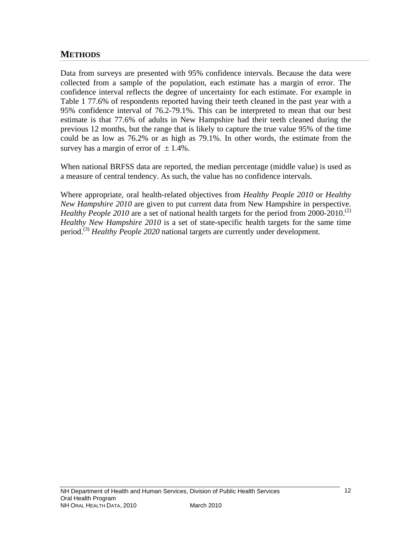# **METHODS**

Data from surveys are presented with 95% confidence intervals. Because the data were collected from a sample of the population, each estimate has a margin of error. The confidence interval reflects the degree of uncertainty for each estimate. For example in Table 1 77.6% of respondents reported having their teeth cleaned in the past year with a 95% confidence interval of 76.2-79.1%. This can be interpreted to mean that our best estimate is that 77.6% of adults in New Hampshire had their teeth cleaned during the previous 12 months, but the range that is likely to capture the true value 95% of the time could be as low as 76.2% or as high as 79.1%. In other words, the estimate from the survey has a margin of error of  $\pm$  1.4%.

When national BRFSS data are reported, the median percentage (middle value) is used as a measure of central tendency. As such, the value has no confidence intervals.

Where appropriate, oral health-related objectives from *Healthy People 2010* or *Healthy New Hampshire 2010* are given to put current data from New Hampshire in perspective. *Healthy People 2010* are a set of national health targets for the period from 2000-2010.<sup>(2)</sup> *Healthy New Hampshire 2010* is a set of state-specific health targets for the same time period.(3) *Healthy People 2020* national targets are currently under development*.*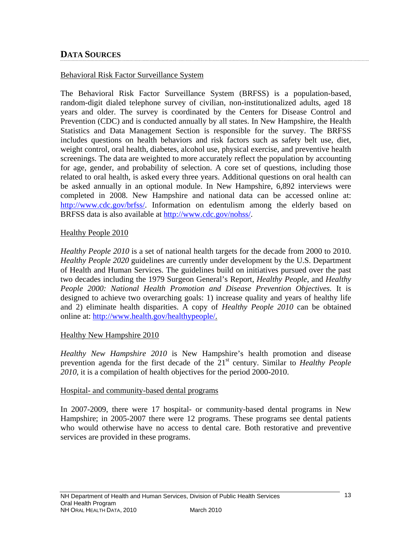# **DATA SOURCES**

#### Behavioral Risk Factor Surveillance System

The Behavioral Risk Factor Surveillance System (BRFSS) is a population-based, random-digit dialed telephone survey of civilian, non-institutionalized adults, aged 18 years and older. The survey is coordinated by the Centers for Disease Control and Prevention (CDC) and is conducted annually by all states. In New Hampshire, the Health Statistics and Data Management Section is responsible for the survey. The BRFSS includes questions on health behaviors and risk factors such as safety belt use, diet, weight control, oral health, diabetes, alcohol use, physical exercise, and preventive health screenings. The data are weighted to more accurately reflect the population by accounting for age, gender, and probability of selection. A core set of questions, including those related to oral health, is asked every three years. Additional questions on oral health can be asked annually in an optional module. In New Hampshire, 6,892 interviews were completed in 2008. New Hampshire and national data can be accessed online at: <http://www.cdc.gov/brfss/>. Information on edentulism among the elderly based on BRFSS data is also available at [http://www.cdc.gov/nohss/.](http://www.cdc.gov/nohss/)

#### Healthy People 2010

*Healthy People 2010* is a set of national health targets for the decade from 2000 to 2010. *Healthy People 2020* guidelines are currently under development by the U.S. Department of Health and Human Services. The guidelines build on initiatives pursued over the past two decades including the 1979 Surgeon General's Report, *Healthy People*, and *Healthy People 2000: National Health Promotion and Disease Prevention Objectives.* It is designed to achieve two overarching goals: 1) increase quality and years of healthy life and 2) eliminate health disparities. A copy of *Healthy People 2010* can be obtained online at:<http://www.health.gov/healthypeople/>.

#### Healthy New Hampshire 2010

*Healthy New Hampshire 2010* is New Hampshire's health promotion and disease prevention agenda for the first decade of the 21<sup>st</sup> century. Similar to *Healthy People 2010,* it is a compilation of health objectives for the period 2000-2010.

#### Hospital- and community-based dental programs

In 2007-2009, there were 17 hospital- or community-based dental programs in New Hampshire; in 2005-2007 there were 12 programs. These programs see dental patients who would otherwise have no access to dental care. Both restorative and preventive services are provided in these programs.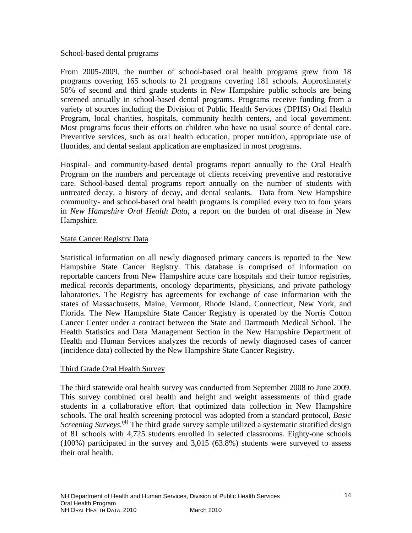#### School-based dental programs

From 2005-2009, the number of school-based oral health programs grew from 18 programs covering 165 schools to 21 programs covering 181 schools. Approximately 50% of second and third grade students in New Hampshire public schools are being screened annually in school-based dental programs. Programs receive funding from a variety of sources including the Division of Public Health Services (DPHS) Oral Health Program, local charities, hospitals, community health centers, and local government. Most programs focus their efforts on children who have no usual source of dental care. Preventive services, such as oral health education, proper nutrition, appropriate use of fluorides, and dental sealant application are emphasized in most programs.

Hospital- and community-based dental programs report annually to the Oral Health Program on the numbers and percentage of clients receiving preventive and restorative care. School-based dental programs report annually on the number of students with untreated decay, a history of decay, and dental sealants. Data from New Hampshire community- and school-based oral health programs is compiled every two to four years in *New Hampshire Oral Health Data*, a report on the burden of oral disease in New Hampshire.

## State Cancer Registry Data

Statistical information on all newly diagnosed primary cancers is reported to the New Hampshire State Cancer Registry. This database is comprised of information on reportable cancers from New Hampshire acute care hospitals and their tumor registries, medical records departments, oncology departments, physicians, and private pathology laboratories. The Registry has agreements for exchange of case information with the states of Massachusetts, Maine, Vermont, Rhode Island, Connecticut, New York, and Florida. The New Hampshire State Cancer Registry is operated by the Norris Cotton Cancer Center under a contract between the State and Dartmouth Medical School. The Health Statistics and Data Management Section in the New Hampshire Department of Health and Human Services analyzes the records of newly diagnosed cases of cancer (incidence data) collected by the New Hampshire State Cancer Registry.

## Third Grade Oral Health Survey

The third statewide oral health survey was conducted from September 2008 to June 2009. This survey combined oral health and height and weight assessments of third grade students in a collaborative effort that optimized data collection in New Hampshire schools. The oral health screening protocol was adopted from a standard protocol, *Basic Screening Surveys.*<sup>(4)</sup> The third grade survey sample utilized a systematic stratified design of 81 schools with 4,725 students enrolled in selected classrooms. Eighty-one schools (100%) participated in the survey and 3,015 (63.8%) students were surveyed to assess their oral health.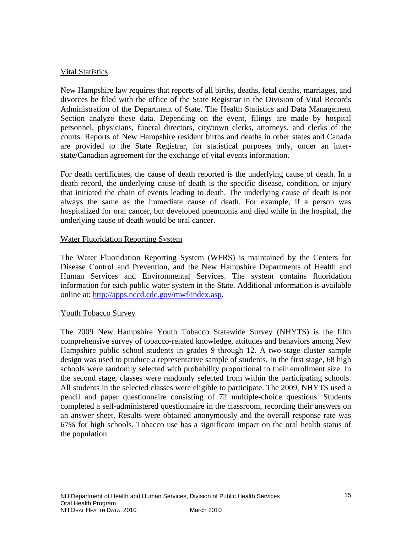## Vital Statistics

New Hampshire law requires that reports of all births, deaths, fetal deaths, marriages, and divorces be filed with the office of the State Registrar in the Division of Vital Records Administration of the Department of State. The Health Statistics and Data Management Section analyze these data. Depending on the event, filings are made by hospital personnel, physicians, funeral directors, city/town clerks, attorneys, and clerks of the courts. Reports of New Hampshire resident births and deaths in other states and Canada are provided to the State Registrar, for statistical purposes only, under an interstate/Canadian agreement for the exchange of vital events information.

For death certificates, the cause of death reported is the underlying cause of death. In a death record, the underlying cause of death is the specific disease, condition, or injury that initiated the chain of events leading to death. The underlying cause of death is not always the same as the immediate cause of death. For example, if a person was hospitalized for oral cancer, but developed pneumonia and died while in the hospital, the underlying cause of death would be oral cancer.

## Water Fluoridation Reporting System

The Water Fluoridation Reporting System (WFRS) is maintained by the Centers for Disease Control and Prevention, and the New Hampshire Departments of Health and Human Services and Environmental Services. The system contains fluoridation information for each public water system in the State. Additional information is available online at: <http://apps.nccd.cdc.gov/mwf/index.asp>.

## Youth Tobacco Survey

The 2009 New Hampshire Youth Tobacco Statewide Survey (NHYTS) is the fifth comprehensive survey of tobacco-related knowledge, attitudes and behaviors among New Hampshire public school students in grades 9 through 12. A two-stage cluster sample design was used to produce a representative sample of students. In the first stage, 68 high schools were randomly selected with probability proportional to their enrollment size. In the second stage, classes were randomly selected from within the participating schools. All students in the selected classes were eligible to participate. The 2009, NHYTS used a pencil and paper questionnaire consisting of 72 multiple-choice questions. Students completed a self-administered questionnaire in the classroom, recording their answers on an answer sheet. Results were obtained anonymously and the overall response rate was 67% for high schools. Tobacco use has a significant impact on the oral health status of the population.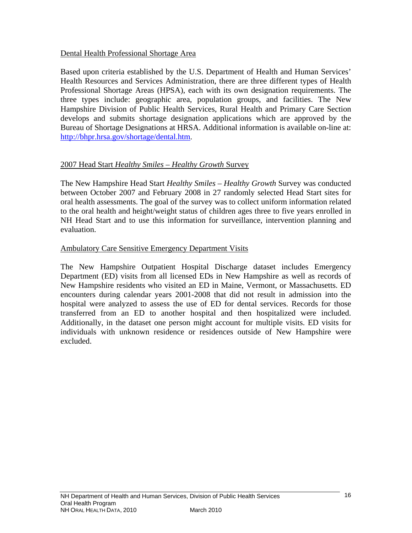## Dental Health Professional Shortage Area

Based upon criteria established by the U.S. Department of Health and Human Services' Health Resources and Services Administration, there are three different types of Health Professional Shortage Areas (HPSA), each with its own designation requirements. The three types include: geographic area, population groups, and facilities. The New Hampshire Division of Public Health Services, Rural Health and Primary Care Section develops and submits shortage designation applications which are approved by the Bureau of Shortage Designations at HRSA. Additional information is available on-line at: [http://bhpr.hrsa.gov/shortage/dental.htm.](http://bhpr.hrsa.gov/shortage/dental.htm)

## 2007 Head Start *Healthy Smiles – Healthy Growth* Survey

The New Hampshire Head Start *Healthy Smiles – Healthy Growth* Survey was conducted between October 2007 and February 2008 in 27 randomly selected Head Start sites for oral health assessments. The goal of the survey was to collect uniform information related to the oral health and height/weight status of children ages three to five years enrolled in NH Head Start and to use this information for surveillance, intervention planning and evaluation.

#### Ambulatory Care Sensitive Emergency Department Visits

The New Hampshire Outpatient Hospital Discharge dataset includes Emergency Department (ED) visits from all licensed EDs in New Hampshire as well as records of New Hampshire residents who visited an ED in Maine, Vermont, or Massachusetts. ED encounters during calendar years 2001-2008 that did not result in admission into the hospital were analyzed to assess the use of ED for dental services. Records for those transferred from an ED to another hospital and then hospitalized were included. Additionally, in the dataset one person might account for multiple visits. ED visits for individuals with unknown residence or residences outside of New Hampshire were excluded.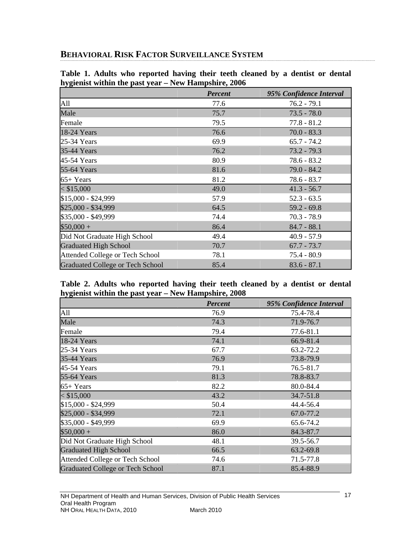# **BEHAVIORAL RISK FACTOR SURVEILLANCE SYSTEM**

|                                         | <b>Percent</b> | 95% Confidence Interval |
|-----------------------------------------|----------------|-------------------------|
| A11                                     | 77.6           | $76.2 - 79.1$           |
| Male                                    | 75.7           | $73.5 - 78.0$           |
| Female                                  | 79.5           | $77.8 - 81.2$           |
| 18-24 Years                             | 76.6           | $70.0 - 83.3$           |
| 25-34 Years                             | 69.9           | $65.7 - 74.2$           |
| 35-44 Years                             | 76.2           | $73.2 - 79.3$           |
| 45-54 Years                             | 80.9           | $78.6 - 83.2$           |
| 55-64 Years                             | 81.6           | $79.0 - 84.2$           |
| $65+Years$                              | 81.2           | $78.6 - 83.7$           |
| $<$ \$15,000                            | 49.0           | $41.3 - 56.7$           |
| \$15,000 - \$24,999                     | 57.9           | $52.3 - 63.5$           |
| \$25,000 - \$34,999                     | 64.5           | $59.2 - 69.8$           |
| \$35,000 - \$49,999                     | 74.4           | $70.3 - 78.9$           |
| $$50,000+$                              | 86.4           | $84.7 - 88.1$           |
| Did Not Graduate High School            | 49.4           | $40.9 - 57.9$           |
| <b>Graduated High School</b>            | 70.7           | $67.7 - 73.7$           |
| Attended College or Tech School         | 78.1           | $75.4 - 80.9$           |
| <b>Graduated College or Tech School</b> | 85.4           | $83.6 - 87.1$           |

**Table 1. Adults who reported having their teeth cleaned by a dentist or dental hygienist within the past year – New Hampshire, 2006** 

#### **Table 2. Adults who reported having their teeth cleaned by a dentist or dental hygienist within the past year – New Hampshire, 2008**

|                                         | <b>Percent</b> | 95% Confidence Interval |
|-----------------------------------------|----------------|-------------------------|
| All                                     | 76.9           | 75.4-78.4               |
| Male                                    | 74.3           | 71.9-76.7               |
| Female                                  | 79.4           | 77.6-81.1               |
| 18-24 Years                             | 74.1           | 66.9-81.4               |
| 25-34 Years                             | 67.7           | 63.2-72.2               |
| 35-44 Years                             | 76.9           | 73.8-79.9               |
| 45-54 Years                             | 79.1           | 76.5-81.7               |
| 55-64 Years                             | 81.3           | 78.8-83.7               |
| $65+Years$                              | 82.2           | 80.0-84.4               |
| $<$ \$15,000                            | 43.2           | $34.7 - 51.8$           |
| \$15,000 - \$24,999                     | 50.4           | 44.4-56.4               |
| \$25,000 - \$34,999                     | 72.1           | 67.0-77.2               |
| \$35,000 - \$49,999                     | 69.9           | 65.6-74.2               |
| $$50,000 +$                             | 86.0           | 84.3-87.7               |
| Did Not Graduate High School            | 48.1           | 39.5-56.7               |
| <b>Graduated High School</b>            | 66.5           | 63.2-69.8               |
| Attended College or Tech School         | 74.6           | 71.5-77.8               |
| <b>Graduated College or Tech School</b> | 87.1           | 85.4-88.9               |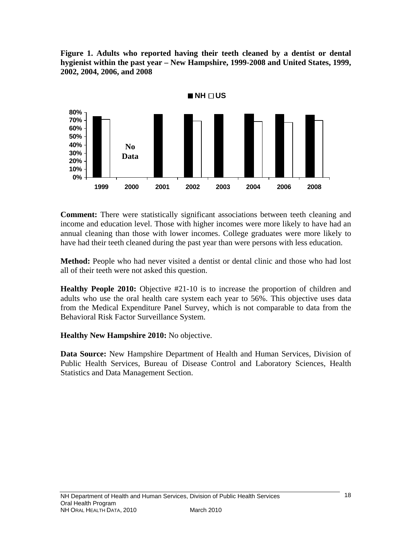**Figure 1. Adults who reported having their teeth cleaned by a dentist or dental hygienist within the past year – New Hampshire, 1999-2008 and United States, 1999, 2002, 2004, 2006, and 2008** 



**Comment:** There were statistically significant associations between teeth cleaning and income and education level. Those with higher incomes were more likely to have had an annual cleaning than those with lower incomes. College graduates were more likely to have had their teeth cleaned during the past year than were persons with less education.

**Method:** People who had never visited a dentist or dental clinic and those who had lost all of their teeth were not asked this question.

**Healthy People 2010:** Objective #21-10 is to increase the proportion of children and adults who use the oral health care system each year to 56%. This objective uses data from the Medical Expenditure Panel Survey, which is not comparable to data from the Behavioral Risk Factor Surveillance System.

**Healthy New Hampshire 2010:** No objective.

**Data Source:** New Hampshire Department of Health and Human Services, Division of Public Health Services, Bureau of Disease Control and Laboratory Sciences, Health Statistics and Data Management Section.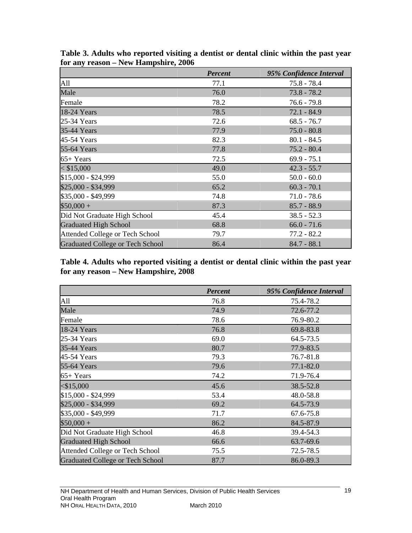|                                         | <b>Percent</b> | 95% Confidence Interval |
|-----------------------------------------|----------------|-------------------------|
| All                                     | 77.1           | $75.8 - 78.4$           |
| Male                                    | 76.0           | $73.8 - 78.2$           |
| Female                                  | 78.2           | $76.6 - 79.8$           |
| 18-24 Years                             | 78.5           | $72.1 - 84.9$           |
| 25-34 Years                             | 72.6           | $68.5 - 76.7$           |
| 35-44 Years                             | 77.9           | $75.0 - 80.8$           |
| 45-54 Years                             | 82.3           | $80.1 - 84.5$           |
| 55-64 Years                             | 77.8           | $75.2 - 80.4$           |
| $65+Years$                              | 72.5           | $69.9 - 75.1$           |
| $<$ \$15,000                            | 49.0           | $42.3 - 55.7$           |
| \$15,000 - \$24,999                     | 55.0           | $50.0 - 60.0$           |
| \$25,000 - \$34,999                     | 65.2           | $60.3 - 70.1$           |
| \$35,000 - \$49,999                     | 74.8           | $71.0 - 78.6$           |
| $$50,000 +$                             | 87.3           | $85.7 - 88.9$           |
| Did Not Graduate High School            | 45.4           | $38.5 - 52.3$           |
| <b>Graduated High School</b>            | 68.8           | $66.0 - 71.6$           |
| Attended College or Tech School         | 79.7           | $77.2 - 82.2$           |
| <b>Graduated College or Tech School</b> | 86.4           | $84.7 - 88.1$           |

**Table 3. Adults who reported visiting a dentist or dental clinic within the past year for any reason – New Hampshire, 2006** 

**Table 4. Adults who reported visiting a dentist or dental clinic within the past year for any reason – New Hampshire, 2008** 

|                                         | <b>Percent</b> | 95% Confidence Interval |
|-----------------------------------------|----------------|-------------------------|
| All                                     | 76.8           | 75.4-78.2               |
| Male                                    | 74.9           | 72.6-77.2               |
| Female                                  | 78.6           | 76.9-80.2               |
| 18-24 Years                             | 76.8           | 69.8-83.8               |
| 25-34 Years                             | 69.0           | 64.5-73.5               |
| 35-44 Years                             | 80.7           | 77.9-83.5               |
| 45-54 Years                             | 79.3           | 76.7-81.8               |
| 55-64 Years                             | 79.6           | $77.1 - 82.0$           |
| $65+Years$                              | 74.2           | 71.9-76.4               |
| $<$ \$15,000                            | 45.6           | 38.5-52.8               |
| \$15,000 - \$24,999                     | 53.4           | 48.0-58.8               |
| \$25,000 - \$34,999                     | 69.2           | 64.5-73.9               |
| \$35,000 - \$49,999                     | 71.7           | 67.6-75.8               |
| $$50,000 +$                             | 86.2           | 84.5-87.9               |
| Did Not Graduate High School            | 46.8           | 39.4-54.3               |
| <b>Graduated High School</b>            | 66.6           | 63.7-69.6               |
| Attended College or Tech School         | 75.5           | 72.5-78.5               |
| <b>Graduated College or Tech School</b> | 87.7           | 86.0-89.3               |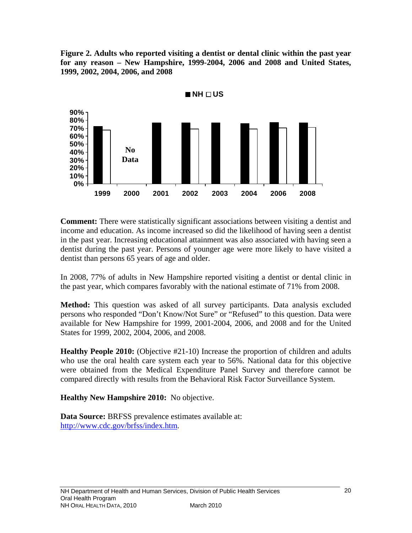**Figure 2. Adults who reported visiting a dentist or dental clinic within the past year for any reason – New Hampshire, 1999-2004, 2006 and 2008 and United States, 1999, 2002, 2004, 2006, and 2008** 



**Comment:** There were statistically significant associations between visiting a dentist and income and education. As income increased so did the likelihood of having seen a dentist in the past year. Increasing educational attainment was also associated with having seen a dentist during the past year. Persons of younger age were more likely to have visited a dentist than persons 65 years of age and older.

In 2008, 77% of adults in New Hampshire reported visiting a dentist or dental clinic in the past year, which compares favorably with the national estimate of 71% from 2008.

**Method:** This question was asked of all survey participants. Data analysis excluded persons who responded "Don't Know/Not Sure" or "Refused" to this question. Data were available for New Hampshire for 1999, 2001-2004, 2006, and 2008 and for the United States for 1999, 2002, 2004, 2006, and 2008.

**Healthy People 2010:** (Objective #21-10) Increase the proportion of children and adults who use the oral health care system each year to 56%. National data for this objective were obtained from the Medical Expenditure Panel Survey and therefore cannot be compared directly with results from the Behavioral Risk Factor Surveillance System.

**Healthy New Hampshire 2010:** No objective.

**Data Source:** BRFSS prevalence estimates available at: [http://www.cdc.gov/brfss/index.htm.](http://www.cdc.gov/brfss/index.htm)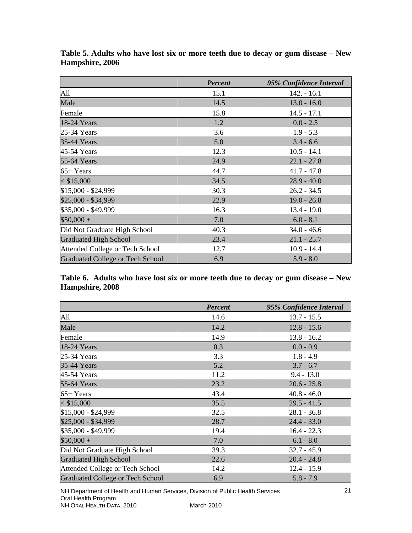|                                         | <b>Percent</b> | 95% Confidence Interval |
|-----------------------------------------|----------------|-------------------------|
| All                                     | 15.1           | $142. - 16.1$           |
| Male                                    | 14.5           | $13.0 - 16.0$           |
| Female                                  | 15.8           | $14.5 - 17.1$           |
| 18-24 Years                             | 1.2            | $0.0 - 2.5$             |
| 25-34 Years                             | 3.6            | $1.9 - 5.3$             |
| 35-44 Years                             | 5.0            | $3.4 - 6.6$             |
| 45-54 Years                             | 12.3           | $10.5 - 14.1$           |
| 55-64 Years                             | 24.9           | $22.1 - 27.8$           |
| $65+Years$                              | 44.7           | $41.7 - 47.8$           |
| $<$ \$15,000                            | 34.5           | $28.9 - 40.0$           |
| \$15,000 - \$24,999                     | 30.3           | $26.2 - 34.5$           |
| \$25,000 - \$34,999                     | 22.9           | $19.0 - 26.8$           |
| \$35,000 - \$49,999                     | 16.3           | $13.4 - 19.0$           |
| $$50,000 +$                             | 7.0            | $6.0 - 8.1$             |
| Did Not Graduate High School            | 40.3           | $34.0 - 46.6$           |
| <b>Graduated High School</b>            | 23.4           | $21.1 - 25.7$           |
| Attended College or Tech School         | 12.7           | $10.9 - 14.4$           |
| <b>Graduated College or Tech School</b> | 6.9            | $5.9 - 8.0$             |

**Table 5. Adults who have lost six or more teeth due to decay or gum disease – New Hampshire, 2006** 

**Table 6. Adults who have lost six or more teeth due to decay or gum disease – New Hampshire, 2008** 

|                                         | <b>Percent</b> | 95% Confidence Interval |
|-----------------------------------------|----------------|-------------------------|
| All                                     | 14.6           | $13.7 - 15.5$           |
| Male                                    | 14.2           | $12.8 - 15.6$           |
| Female                                  | 14.9           | $13.8 - 16.2$           |
| 18-24 Years                             | 0.3            | $0.0 - 0.9$             |
| 25-34 Years                             | 3.3            | $1.8 - 4.9$             |
| 35-44 Years                             | 5.2            | $3.7 - 6.7$             |
| 45-54 Years                             | 11.2           | $9.4 - 13.0$            |
| 55-64 Years                             | 23.2           | $20.6 - 25.8$           |
| $65+Years$                              | 43.4           | $40.8 - 46.0$           |
| $<$ \$15,000                            | 35.5           | $29.5 - 41.5$           |
| \$15,000 - \$24,999                     | 32.5           | $28.1 - 36.8$           |
| \$25,000 - \$34,999                     | 28.7           | $24.4 - 33.0$           |
| \$35,000 - \$49,999                     | 19.4           | $16.4 - 22.3$           |
| $$50,000 +$                             | 7.0            | $6.1 - 8.0$             |
| Did Not Graduate High School            | 39.3           | $32.7 - 45.9$           |
| <b>Graduated High School</b>            | 22.6           | $20.4 - 24.8$           |
| Attended College or Tech School         | 14.2           | $12.4 - 15.9$           |
| <b>Graduated College or Tech School</b> | 6.9            | $5.8 - 7.9$             |

NH Department of Health and Human Services, Division of Public Health Services Oral Health Program NH ORAL HEALTH DATA, 2010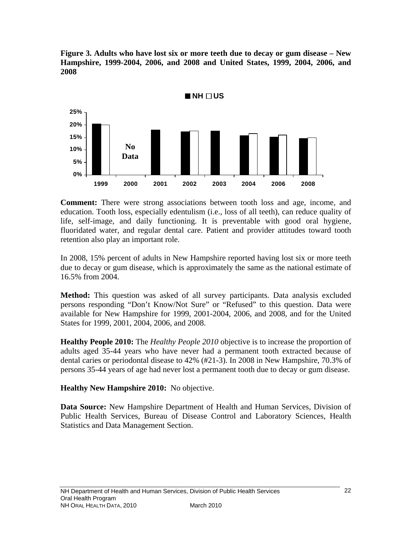**Figure 3. Adults who have lost six or more teeth due to decay or gum disease – New Hampshire, 1999-2004, 2006, and 2008 and United States, 1999, 2004, 2006, and 2008** 



**Comment:** There were strong associations between tooth loss and age, income, and education. Tooth loss, especially edentulism (i.e., loss of all teeth), can reduce quality of life, self-image, and daily functioning. It is preventable with good oral hygiene, fluoridated water, and regular dental care. Patient and provider attitudes toward tooth retention also play an important role.

In 2008, 15% percent of adults in New Hampshire reported having lost six or more teeth due to decay or gum disease, which is approximately the same as the national estimate of 16.5% from 2004.

**Method:** This question was asked of all survey participants. Data analysis excluded persons responding "Don't Know/Not Sure" or "Refused" to this question. Data were available for New Hampshire for 1999, 2001-2004, 2006, and 2008, and for the United States for 1999, 2001, 2004, 2006, and 2008.

**Healthy People 2010:** The *Healthy People 2010* objective is to increase the proportion of adults aged 35-44 years who have never had a permanent tooth extracted because of dental caries or periodontal disease to 42% (#21-3). In 2008 in New Hampshire, 70.3% of persons 35-44 years of age had never lost a permanent tooth due to decay or gum disease.

**Healthy New Hampshire 2010:** No objective.

**Data Source:** New Hampshire Department of Health and Human Services, Division of Public Health Services, Bureau of Disease Control and Laboratory Sciences, Health Statistics and Data Management Section.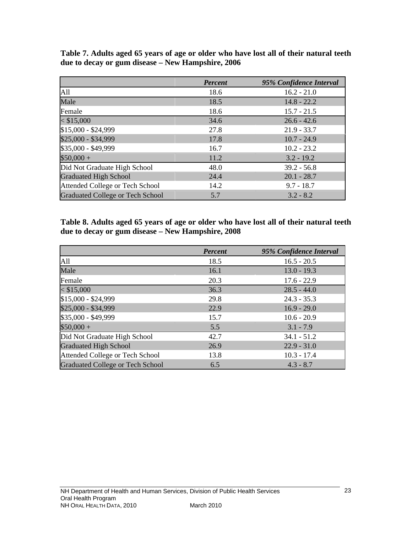|                                         | <b>Percent</b> | 95% Confidence Interval |
|-----------------------------------------|----------------|-------------------------|
| All                                     | 18.6           | $16.2 - 21.0$           |
| Male                                    | 18.5           | $14.8 - 22.2$           |
| Female                                  | 18.6           | $15.7 - 21.5$           |
| $<$ \$15,000                            | 34.6           | $26.6 - 42.6$           |
| \$15,000 - \$24,999                     | 27.8           | $21.9 - 33.7$           |
| \$25,000 - \$34,999                     | 17.8           | $10.7 - 24.9$           |
| \$35,000 - \$49,999                     | 16.7           | $10.2 - 23.2$           |
| $$50,000 +$                             | 11.2           | $3.2 - 19.2$            |
| Did Not Graduate High School            | 48.0           | $39.2 - 56.8$           |
| <b>Graduated High School</b>            | 24.4           | $20.1 - 28.7$           |
| Attended College or Tech School         | 14.2           | $9.7 - 18.7$            |
| <b>Graduated College or Tech School</b> | 5.7            | $3.2 - 8.2$             |

**Table 7. Adults aged 65 years of age or older who have lost all of their natural teeth due to decay or gum disease – New Hampshire, 2006** 

**Table 8. Adults aged 65 years of age or older who have lost all of their natural teeth due to decay or gum disease – New Hampshire, 2008** 

|                                         | Percent | 95% Confidence Interval |
|-----------------------------------------|---------|-------------------------|
| All                                     | 18.5    | $16.5 - 20.5$           |
| Male                                    | 16.1    | $13.0 - 19.3$           |
| Female                                  | 20.3    | $17.6 - 22.9$           |
| $<$ \$15,000                            | 36.3    | $28.5 - 44.0$           |
| \$15,000 - \$24,999                     | 29.8    | $24.3 - 35.3$           |
| \$25,000 - \$34,999                     | 22.9    | $16.9 - 29.0$           |
| \$35,000 - \$49,999                     | 15.7    | $10.6 - 20.9$           |
| $$50,000 +$                             | 5.5     | $3.1 - 7.9$             |
| Did Not Graduate High School            | 42.7    | $34.1 - 51.2$           |
| <b>Graduated High School</b>            | 26.9    | $22.9 - 31.0$           |
| Attended College or Tech School         | 13.8    | $10.3 - 17.4$           |
| <b>Graduated College or Tech School</b> | 6.5     | $4.3 - 8.7$             |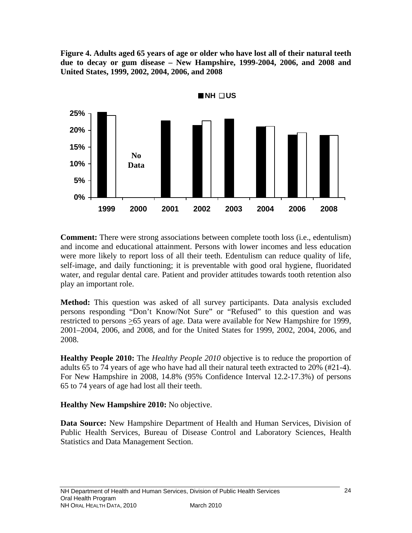**Figure 4. Adults aged 65 years of age or older who have lost all of their natural teeth due to decay or gum disease – New Hampshire, 1999-2004, 2006, and 2008 and United States, 1999, 2002, 2004, 2006, and 2008** 



**Comment:** There were strong associations between complete tooth loss (i.e., edentulism) and income and educational attainment. Persons with lower incomes and less education were more likely to report loss of all their teeth. Edentulism can reduce quality of life, self-image, and daily functioning; it is preventable with good oral hygiene, fluoridated water, and regular dental care. Patient and provider attitudes towards tooth retention also play an important role.

**Method:** This question was asked of all survey participants. Data analysis excluded persons responding "Don't Know/Not Sure" or "Refused" to this question and was restricted to persons >65 years of age. Data were available for New Hampshire for 1999, 2001–2004, 2006, and 2008, and for the United States for 1999, 2002, 2004, 2006, and 2008.

**Healthy People 2010:** The *Healthy People 2010* objective is to reduce the proportion of adults 65 to 74 years of age who have had all their natural teeth extracted to 20% (#21-4). For New Hampshire in 2008, 14.8% (95% Confidence Interval 12.2-17.3%) of persons 65 to 74 years of age had lost all their teeth.

## **Healthy New Hampshire 2010:** No objective.

**Data Source:** New Hampshire Department of Health and Human Services, Division of Public Health Services, Bureau of Disease Control and Laboratory Sciences, Health Statistics and Data Management Section.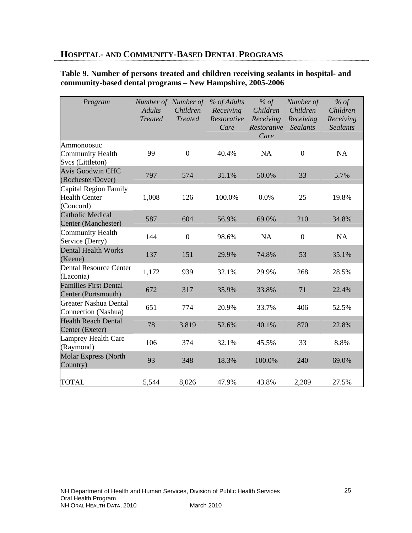# **HOSPITAL- AND COMMUNITY-BASED DENTAL PROGRAMS**

#### **Table 9. Number of persons treated and children receiving sealants in hospital- and community-based dental programs – New Hampshire, 2005-2006**

| Program                                                    | <b>Adults</b><br><b>Treated</b> | Number of Number of<br>Children<br><b>Treated</b> | % of Adults<br>Receiving<br>Restorative<br>Care | % of<br>Children<br>Receiving<br>Restorative<br>Care | Number of<br>Children<br>Receiving<br><b>Sealants</b> | % of<br>Children<br>Receiving<br><b>Sealants</b> |
|------------------------------------------------------------|---------------------------------|---------------------------------------------------|-------------------------------------------------|------------------------------------------------------|-------------------------------------------------------|--------------------------------------------------|
| Ammonoosuc<br><b>Community Health</b><br>Svcs (Littleton)  | 99                              | $\mathbf{0}$                                      | 40.4%                                           | <b>NA</b>                                            | $\theta$                                              | <b>NA</b>                                        |
| <b>Avis Goodwin CHC</b><br>(Rochester/Dover)               | 797                             | 574                                               | 31.1%                                           | 50.0%                                                | 33                                                    | 5.7%                                             |
| Capital Region Family<br><b>Health Center</b><br>(Concord) | 1,008                           | 126                                               | 100.0%                                          | 0.0%                                                 | 25                                                    | 19.8%                                            |
| <b>Catholic Medical</b><br>Center (Manchester)             | 587                             | 604                                               | 56.9%                                           | 69.0%                                                | 210                                                   | 34.8%                                            |
| <b>Community Health</b><br>Service (Derry)                 | 144                             | $\overline{0}$                                    | 98.6%                                           | <b>NA</b>                                            | $\overline{0}$                                        | <b>NA</b>                                        |
| <b>Dental Health Works</b><br>(Keene)                      | 137                             | 151                                               | 29.9%                                           | 74.8%                                                | 53                                                    | 35.1%                                            |
| <b>Dental Resource Center</b><br>(Laconia)                 | 1,172                           | 939                                               | 32.1%                                           | 29.9%                                                | 268                                                   | 28.5%                                            |
| <b>Families First Dental</b><br>Center (Portsmouth)        | 672                             | 317                                               | 35.9%                                           | 33.8%                                                | 71                                                    | 22.4%                                            |
| <b>Greater Nashua Dental</b><br>Connection (Nashua)        | 651                             | 774                                               | 20.9%                                           | 33.7%                                                | 406                                                   | 52.5%                                            |
| <b>Health Reach Dental</b><br>Center (Exeter)              | 78                              | 3,819                                             | 52.6%                                           | 40.1%                                                | 870                                                   | 22.8%                                            |
| <b>Lamprey Health Care</b><br>(Raymond)                    | 106                             | 374                                               | 32.1%                                           | 45.5%                                                | 33                                                    | 8.8%                                             |
| <b>Molar Express (North</b><br>Country)                    | 93                              | 348                                               | 18.3%                                           | 100.0%                                               | 240                                                   | 69.0%                                            |
| <b>TOTAL</b>                                               | 5,544                           | 8,026                                             | 47.9%                                           | 43.8%                                                | 2,209                                                 | 27.5%                                            |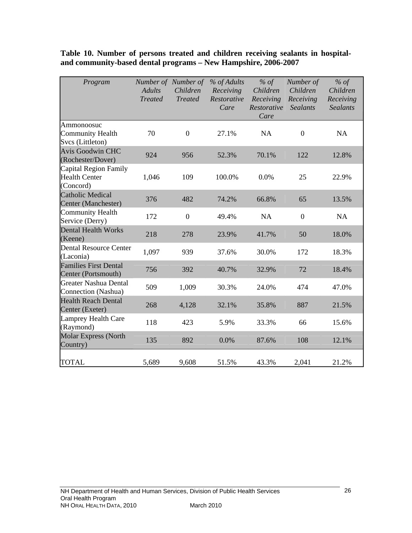| Program                                                    | <b>Adults</b><br><b>Treated</b> | Number of Number of<br>Children<br><b>Treated</b> | % of Adults<br>Receiving<br>Restorative<br>Care | % of<br>Children<br>Receiving<br>Restorative<br>Care | Number of<br>Children<br>Receiving<br><b>Sealants</b> | % of<br>Children<br>Receiving<br><b>Sealants</b> |
|------------------------------------------------------------|---------------------------------|---------------------------------------------------|-------------------------------------------------|------------------------------------------------------|-------------------------------------------------------|--------------------------------------------------|
| Ammonoosuc<br><b>Community Health</b><br>Svcs (Littleton)  | 70                              | $\boldsymbol{0}$                                  | 27.1%                                           | <b>NA</b>                                            | $\boldsymbol{0}$                                      | <b>NA</b>                                        |
| <b>Avis Goodwin CHC</b><br>(Rochester/Dover)               | 924                             | 956                                               | 52.3%                                           | 70.1%                                                | 122                                                   | 12.8%                                            |
| Capital Region Family<br><b>Health Center</b><br>(Concord) | 1,046                           | 109                                               | 100.0%                                          | 0.0%                                                 | 25                                                    | 22.9%                                            |
| <b>Catholic Medical</b><br>Center (Manchester)             | 376                             | 482                                               | 74.2%                                           | 66.8%                                                | 65                                                    | 13.5%                                            |
| <b>Community Health</b><br>Service (Derry)                 | 172                             | $\overline{0}$                                    | 49.4%                                           | NA                                                   | $\mathbf{0}$                                          | <b>NA</b>                                        |
| <b>Dental Health Works</b><br>(Keene)                      | 218                             | 278                                               | 23.9%                                           | 41.7%                                                | 50                                                    | 18.0%                                            |
| <b>Dental Resource Center</b><br>(Laconia)                 | 1,097                           | 939                                               | 37.6%                                           | 30.0%                                                | 172                                                   | 18.3%                                            |
| <b>Families First Dental</b><br>Center (Portsmouth)        | 756                             | 392                                               | 40.7%                                           | 32.9%                                                | 72                                                    | 18.4%                                            |
| <b>Greater Nashua Dental</b><br>Connection (Nashua)        | 509                             | 1,009                                             | 30.3%                                           | 24.0%                                                | 474                                                   | 47.0%                                            |
| <b>Health Reach Dental</b><br>Center (Exeter)              | 268                             | 4,128                                             | 32.1%                                           | 35.8%                                                | 887                                                   | 21.5%                                            |
| <b>Lamprey Health Care</b><br>(Raymond)                    | 118                             | 423                                               | 5.9%                                            | 33.3%                                                | 66                                                    | 15.6%                                            |
| <b>Molar Express (North</b><br>Country)                    | 135                             | 892                                               | 0.0%                                            | 87.6%                                                | 108                                                   | 12.1%                                            |
| <b>TOTAL</b>                                               | 5,689                           | 9,608                                             | 51.5%                                           | 43.3%                                                | 2,041                                                 | 21.2%                                            |

**Table 10. Number of persons treated and children receiving sealants in hospitaland community-based dental programs – New Hampshire, 2006-2007**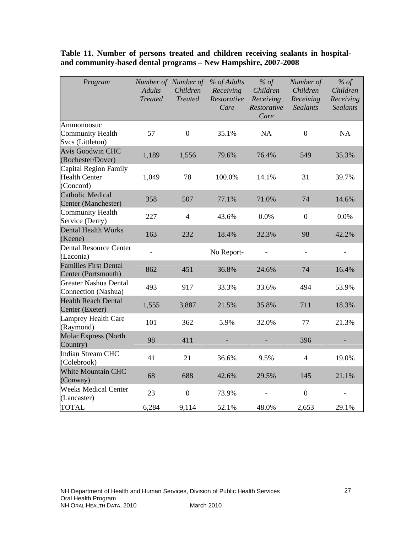| Program                                                    | <b>Adults</b><br><b>Treated</b> | Number of Number of<br>Children<br><b>Treated</b> | % of Adults<br>Receiving<br>Restorative<br>Care | % of<br>Children<br>Receiving<br>Restorative<br>Care | Number of<br>Children<br>Receiving<br><b>Sealants</b> | $%$ of<br>Children<br>Receiving<br><b>Sealants</b> |
|------------------------------------------------------------|---------------------------------|---------------------------------------------------|-------------------------------------------------|------------------------------------------------------|-------------------------------------------------------|----------------------------------------------------|
| Ammonoosuc<br>Community Health<br>Svcs (Littleton)         | 57                              | $\boldsymbol{0}$                                  | 35.1%                                           | NA                                                   | $\overline{0}$                                        | NA                                                 |
| <b>Avis Goodwin CHC</b><br>(Rochester/Dover)               | 1,189                           | 1,556                                             | 79.6%                                           | 76.4%                                                | 549                                                   | 35.3%                                              |
| Capital Region Family<br><b>Health Center</b><br>(Concord) | 1,049                           | 78                                                | 100.0%                                          | 14.1%                                                | 31                                                    | 39.7%                                              |
| <b>Catholic Medical</b><br>Center (Manchester)             | 358                             | 507                                               | 77.1%                                           | 71.0%                                                | 74                                                    | 14.6%                                              |
| <b>Community Health</b><br>Service (Derry)                 | 227                             | $\overline{4}$                                    | 43.6%                                           | 0.0%                                                 | $\overline{0}$                                        | 0.0%                                               |
| <b>Dental Health Works</b><br>(Keene)                      | 163                             | 232                                               | 18.4%                                           | 32.3%                                                | 98                                                    | 42.2%                                              |
| <b>Dental Resource Center</b><br>(Laconia)                 | $\frac{1}{2}$                   |                                                   | No Report-                                      |                                                      | $\overline{\phantom{0}}$                              |                                                    |
| <b>Families First Dental</b><br>Center (Portsmouth)        | 862                             | 451                                               | 36.8%                                           | 24.6%                                                | 74                                                    | 16.4%                                              |
| <b>Greater Nashua Dental</b><br>Connection (Nashua)        | 493                             | 917                                               | 33.3%                                           | 33.6%                                                | 494                                                   | 53.9%                                              |
| <b>Health Reach Dental</b><br>Center (Exeter)              | 1,555                           | 3,887                                             | 21.5%                                           | 35.8%                                                | 711                                                   | 18.3%                                              |
| Lamprey Health Care<br>(Raymond)                           | 101                             | 362                                               | 5.9%                                            | 32.0%                                                | 77                                                    | 21.3%                                              |
| <b>Molar Express (North</b><br>Country)                    | 98                              | 411                                               |                                                 |                                                      | 396                                                   |                                                    |
| <b>Indian Stream CHC</b><br>(Colebrook)                    | 41                              | 21                                                | 36.6%                                           | 9.5%                                                 | $\overline{4}$                                        | 19.0%                                              |
| White Mountain CHC<br>(Conway)                             | 68                              | 688                                               | 42.6%                                           | 29.5%                                                | 145                                                   | 21.1%                                              |
| <b>Weeks Medical Center</b><br>(Lancaster)                 | 23                              | $\boldsymbol{0}$                                  | 73.9%                                           |                                                      | $\boldsymbol{0}$                                      |                                                    |
| <b>TOTAL</b>                                               | 6,284                           | 9,114                                             | 52.1%                                           | 48.0%                                                | 2,653                                                 | 29.1%                                              |

**Table 11. Number of persons treated and children receiving sealants in hospitaland community-based dental programs – New Hampshire, 2007-2008**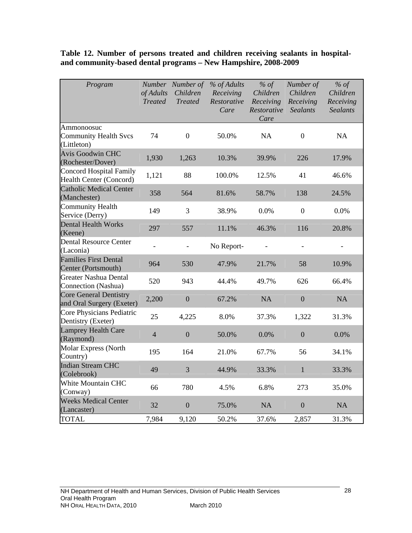## **Table 12. Number of persons treated and children receiving sealants in hospitaland community-based dental programs – New Hampshire, 2008-2009**

| Program                                                    | of Adults<br><b>Treated</b> | Number Number of<br>Children<br><b>Treated</b> | % of Adults<br>Receiving<br>Restorative<br>Care | $%$ of<br>Children<br>Receiving<br>Restorative<br>Care | Number of<br>Children<br>Receiving<br><b>Sealants</b> | $%$ of<br>Children<br>Receiving<br><b>Sealants</b> |
|------------------------------------------------------------|-----------------------------|------------------------------------------------|-------------------------------------------------|--------------------------------------------------------|-------------------------------------------------------|----------------------------------------------------|
| Ammonoosuc<br><b>Community Health Svcs</b><br>(Littleton)  | 74                          | $\boldsymbol{0}$                               | 50.0%                                           | <b>NA</b>                                              | $\boldsymbol{0}$                                      | NA                                                 |
| <b>Avis Goodwin CHC</b><br>(Rochester/Dover)               | 1,930                       | 1,263                                          | 10.3%                                           | 39.9%                                                  | 226                                                   | 17.9%                                              |
| <b>Concord Hospital Family</b><br>Health Center (Concord)  | 1,121                       | 88                                             | 100.0%                                          | 12.5%                                                  | 41                                                    | 46.6%                                              |
| <b>Catholic Medical Center</b><br>(Manchester)             | 358                         | 564                                            | 81.6%                                           | 58.7%                                                  | 138                                                   | 24.5%                                              |
| <b>Community Health</b><br>Service (Derry)                 | 149                         | 3                                              | 38.9%                                           | 0.0%                                                   | $\overline{0}$                                        | 0.0%                                               |
| <b>Dental Health Works</b><br>(Keene)                      | 297                         | 557                                            | 11.1%                                           | 46.3%                                                  | 116                                                   | 20.8%                                              |
| <b>Dental Resource Center</b><br>(Laconia)                 | $\overline{a}$              |                                                | No Report-                                      |                                                        |                                                       |                                                    |
| <b>Families First Dental</b><br>Center (Portsmouth)        | 964                         | 530                                            | 47.9%                                           | 21.7%                                                  | 58                                                    | 10.9%                                              |
| <b>Greater Nashua Dental</b><br>Connection (Nashua)        | 520                         | 943                                            | 44.4%                                           | 49.7%                                                  | 626                                                   | 66.4%                                              |
| <b>Core General Dentistry</b><br>and Oral Surgery (Exeter) | 2,200                       | $\boldsymbol{0}$                               | 67.2%                                           | NA                                                     | $\boldsymbol{0}$                                      | <b>NA</b>                                          |
| Core Physicians Pediatric<br>Dentistry (Exeter)            | 25                          | 4,225                                          | 8.0%                                            | 37.3%                                                  | 1,322                                                 | 31.3%                                              |
| <b>Lamprey Health Care</b><br>(Raymond)                    | $\overline{4}$              | $\overline{0}$                                 | 50.0%                                           | 0.0%                                                   | $\overline{0}$                                        | 0.0%                                               |
| <b>Molar Express (North</b><br>Country)                    | 195                         | 164                                            | 21.0%                                           | 67.7%                                                  | 56                                                    | 34.1%                                              |
| <b>Indian Stream CHC</b><br>(Colebrook)                    | 49                          | $\overline{3}$                                 | 44.9%                                           | 33.3%                                                  | $\mathbf{1}$                                          | 33.3%                                              |
| White Mountain CHC<br>(Conway)                             | 66                          | 780                                            | 4.5%                                            | 6.8%                                                   | 273                                                   | 35.0%                                              |
| <b>Weeks Medical Center</b><br>(Lancaster)                 | 32                          | $\overline{0}$                                 | 75.0%                                           | <b>NA</b>                                              | $\overline{0}$                                        | <b>NA</b>                                          |
| <b>TOTAL</b>                                               | 7,984                       | 9,120                                          | 50.2%                                           | 37.6%                                                  | 2,857                                                 | 31.3%                                              |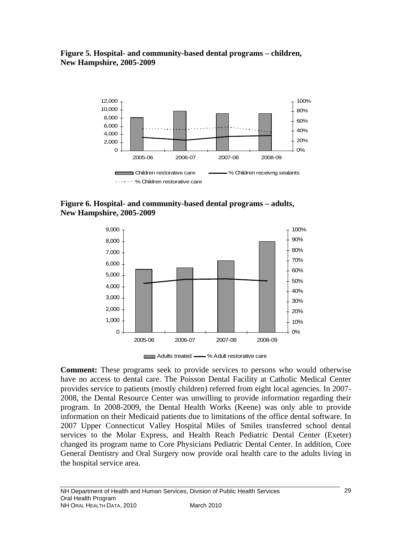**Figure 5. Hospital- and community-based dental programs – children, New Hampshire, 2005-2009** 



**Figure 6. Hospital- and community-based dental programs – adults, New Hampshire, 2005-2009**



**Comment:** These programs seek to provide services to persons who would otherwise have no access to dental care. The Poisson Dental Facility at Catholic Medical Center provides service to patients (mostly children) referred from eight local agencies. In 2007- 2008, the Dental Resource Center was unwilling to provide information regarding their program. In 2008-2009, the Dental Health Works (Keene) was only able to provide information on their Medicaid patients due to limitations of the office dental software. In 2007 Upper Connecticut Valley Hospital Miles of Smiles transferred school dental services to the Molar Express, and Health Reach Pediatric Dental Center (Exeter) changed its program name to Core Physicians Pediatric Dental Center. In addition, Core General Dentistry and Oral Surgery now provide oral health care to the adults living in the hospital service area.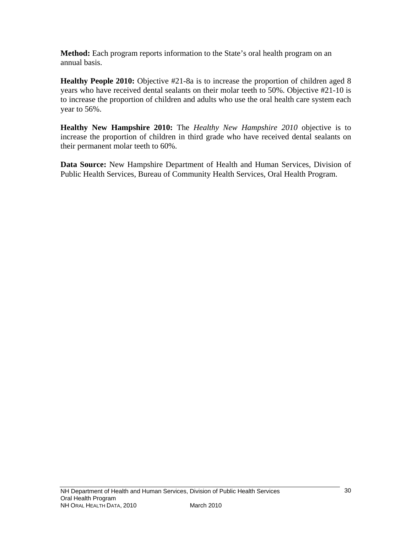**Method:** Each program reports information to the State's oral health program on an annual basis.

**Healthy People 2010:** Objective #21-8a is to increase the proportion of children aged 8 years who have received dental sealants on their molar teeth to 50%. Objective #21-10 is to increase the proportion of children and adults who use the oral health care system each year to 56%.

**Healthy New Hampshire 2010:** The *Healthy New Hampshire 2010* objective is to increase the proportion of children in third grade who have received dental sealants on their permanent molar teeth to 60%.

**Data Source:** New Hampshire Department of Health and Human Services, Division of Public Health Services, Bureau of Community Health Services, Oral Health Program.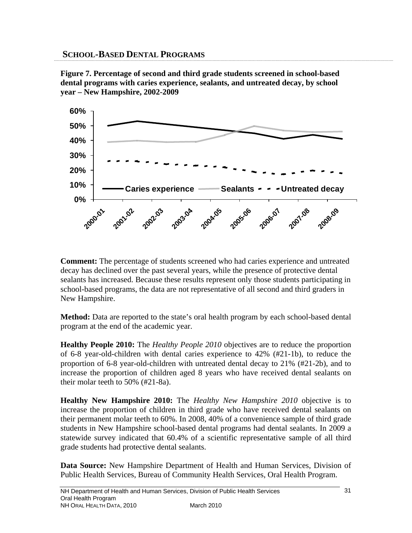**Figure 7. Percentage of second and third grade students screened in school-based dental programs with caries experience, sealants, and untreated decay, by school year – New Hampshire, 2002-2009** 



**Comment:** The percentage of students screened who had caries experience and untreated decay has declined over the past several years, while the presence of protective dental sealants has increased. Because these results represent only those students participating in school-based programs, the data are not representative of all second and third graders in New Hampshire.

**Method:** Data are reported to the state's oral health program by each school-based dental program at the end of the academic year.

**Healthy People 2010:** The *Healthy People 2010* objectives are to reduce the proportion of 6-8 year-old-children with dental caries experience to 42% (#21-1b), to reduce the proportion of 6-8 year-old-children with untreated dental decay to 21% (#21-2b), and to increase the proportion of children aged 8 years who have received dental sealants on their molar teeth to 50% (#21-8a).

**Healthy New Hampshire 2010:** The *Healthy New Hampshire 2010* objective is to increase the proportion of children in third grade who have received dental sealants on their permanent molar teeth to 60%. In 2008, 40% of a convenience sample of third grade students in New Hampshire school-based dental programs had dental sealants. In 2009 a statewide survey indicated that 60.4% of a scientific representative sample of all third grade students had protective dental sealants.

**Data Source:** New Hampshire Department of Health and Human Services, Division of Public Health Services, Bureau of Community Health Services, Oral Health Program.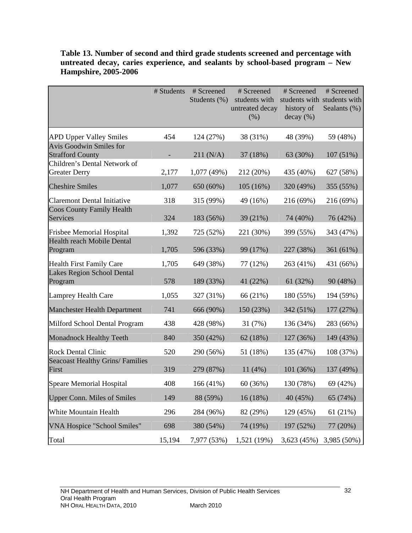|                                                           | # Students | # Screened<br>Students (%) | # Screened<br>students with<br>untreated decay<br>(% ) | # Screened<br>history of<br>decay (%) | # Screened<br>students with students with<br>Sealants (%) |
|-----------------------------------------------------------|------------|----------------------------|--------------------------------------------------------|---------------------------------------|-----------------------------------------------------------|
| <b>APD Upper Valley Smiles</b>                            | 454        | 124 (27%)                  | 38 (31%)                                               | 48 (39%)                              | 59 (48%)                                                  |
| <b>Avis Goodwin Smiles for</b><br><b>Strafford County</b> |            | 211 (N/A)                  | 37 (18%)                                               | 63 (30%)                              | 107 (51%)                                                 |
| Children's Dental Network of<br><b>Greater Derry</b>      | 2,177      | 1,077 (49%)                | 212 (20%)                                              | 435 (40%)                             | 627 (58%)                                                 |
| <b>Cheshire Smiles</b>                                    | 1,077      | 650 (60%)                  | 105(16%)                                               | 320 (49%)                             | 355 (55%)                                                 |
| <b>Claremont Dental Initiative</b>                        | 318        | 315 (99%)                  | 49 (16%)                                               | 216 (69%)                             | 216 (69%)                                                 |
| <b>Coos County Family Health</b><br>Services              | 324        | 183 (56%)                  | 39 (21%)                                               | 74 (40%)                              | 76 (42%)                                                  |
| <b>Frisbee Memorial Hospital</b>                          | 1,392      | 725 (52%)                  | 221 (30%)                                              | 399 (55%)                             | 343 (47%)                                                 |
| Health reach Mobile Dental<br>Program                     | 1,705      | 596 (33%)                  | 99 (17%)                                               | 227 (38%)                             | 361 (61%)                                                 |
| <b>Health First Family Care</b>                           | 1,705      | 649 (38%)                  | 77 (12%)                                               | 263 (41%)                             | 431 (66%)                                                 |
| Lakes Region School Dental<br>Program                     | 578        | 189 (33%)                  | 41 (22%)                                               | 61 (32%)                              | 90 (48%)                                                  |
| <b>Lamprey Health Care</b>                                | 1,055      | 327 (31%)                  | 66 (21%)                                               | 180 (55%)                             | 194 (59%)                                                 |
| <b>Manchester Health Department</b>                       | 741        | 666 (90%)                  | 150 (23%)                                              | 342 (51%)                             | 177 (27%)                                                 |
| Milford School Dental Program                             | 438        | 428 (98%)                  | 31(7%)                                                 | 136 (34%)                             | 283 (66%)                                                 |
| <b>Monadnock Healthy Teeth</b>                            | 840        | 350 (42%)                  | 62 (18%)                                               | 127 (36%)                             | 149 (43%)                                                 |
| <b>Rock Dental Clinic</b>                                 | 520        | 290 (56%)                  | 51 (18%)                                               | 135 (47%)                             | 108 (37%)                                                 |
| <b>Seacoast Healthy Grins/ Families</b><br>First          | 319        | 279 (87%)                  | 11(4%)                                                 | 101 (36%)                             | 137 (49%)                                                 |
| Speare Memorial Hospital                                  | 408        | 166 (41%)                  | 60 (36%)                                               | 130 (78%)                             | 69 (42%)                                                  |
| <b>Upper Conn. Miles of Smiles</b>                        | 149        | 88 (59%)                   | 16 (18%)                                               | 40 (45%)                              | 65 (74%)                                                  |
| White Mountain Health                                     | 296        | 284 (96%)                  | 82 (29%)                                               | 129 (45%)                             | 61(21%)                                                   |
| VNA Hospice "School Smiles"                               | 698        | 380 (54%)                  | 74 (19%)                                               | 197 (52%)                             | 77 (20%)                                                  |
| Total                                                     | 15,194     | 7,977 (53%)                | 1,521 (19%)                                            | 3,623 (45%)                           | 3,985 (50%)                                               |

## **Table 13. Number of second and third grade students screened and percentage with untreated decay, caries experience, and sealants by school-based program – New Hampshire, 2005-2006**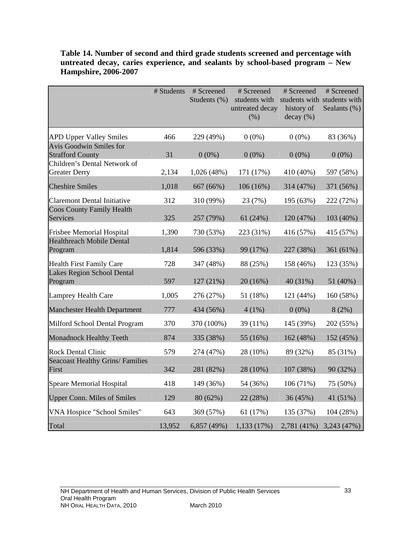|                                                           | # Students | # Screened   | # Screened                               | # Screened                                             | # Screened   |
|-----------------------------------------------------------|------------|--------------|------------------------------------------|--------------------------------------------------------|--------------|
|                                                           |            | Students (%) | students with<br>untreated decay<br>(% ) | students with students with<br>history of<br>decay (%) | Sealants (%) |
| <b>APD Upper Valley Smiles</b>                            | 466        | 229 (49%)    | $0(0\%)$                                 | $0(0\%)$                                               | 83 (36%)     |
| <b>Avis Goodwin Smiles for</b><br><b>Strafford County</b> | 31         |              | $0(0\%)$                                 |                                                        |              |
| Children's Dental Network of                              |            | $0(0\%)$     |                                          | $0(0\%)$                                               | $0(0\%)$     |
| <b>Greater Derry</b>                                      | 2,134      | 1,026 (48%)  | 171 (17%)                                | 410 (40%)                                              | 597 (58%)    |
| <b>Cheshire Smiles</b>                                    | 1,018      | 667 (66%)    | $106(16\%)$                              | 314 (47%)                                              | 371 (56%)    |
| <b>Claremont Dental Initiative</b>                        | 312        | 310 (99%)    | 23 (7%)                                  | 195 (63%)                                              | 222 (72%)    |
| <b>Coos County Family Health</b><br>Services              | 325        | 257 (79%)    | 61(24%)                                  | 120 (47%)                                              | 103 (40%)    |
| <b>Frisbee Memorial Hospital</b>                          | 1,390      | 730 (53%)    | 223 (31%)                                | 416 (57%)                                              | 415 (57%)    |
| <b>Healthreach Mobile Dental</b><br>Program               | 1,814      | 596 (33%)    | 99 (17%)                                 | 227 (38%)                                              | 361 (61%)    |
| <b>Health First Family Care</b>                           | 728        | 347 (48%)    | 88 (25%)                                 | 158 (46%)                                              | 123 (35%)    |
| Lakes Region School Dental<br>Program                     | 597        | 127 (21%)    | 20 (16%)                                 | 40 (31%)                                               | 51 (40%)     |
| <b>Lamprey Health Care</b>                                | 1,005      | 276 (27%)    | 51 (18%)                                 | 121 (44%)                                              | 160 (58%)    |
| <b>Manchester Health Department</b>                       | 777        | 434 (56%)    | $4(1\%)$                                 | $0(0\%)$                                               | 8(2%)        |
| Milford School Dental Program                             | 370        | 370 (100%)   | 39 (11%)                                 | 145 (39%)                                              | 202 (55%)    |
| <b>Monadnock Healthy Teeth</b>                            | 874        | 335 (38%)    | 55 (16%)                                 | 162 (48%)                                              | 152 (45%)    |
| <b>Rock Dental Clinic</b>                                 | 579        | 274 (47%)    | 28 (10%)                                 | 89 (32%)                                               | 85 (31%)     |
| <b>Seacoast Healthy Grins/ Families</b><br>First          | 342        | 281 (82%)    | 28 (10%)                                 | 107 (38%)                                              | 90 (32%)     |
| <b>Speare Memorial Hospital</b>                           | 418        | 149 (36%)    | 54 (36%)                                 | 106 (71%)                                              | 75 (50%)     |
| <b>Upper Conn. Miles of Smiles</b>                        | 129        | 80 (62%)     | 22 (28%)                                 | 36 (45%)                                               | 41 (51%)     |
| VNA Hospice "School Smiles"                               | 643        | 369 (57%)    | 61 (17%)                                 | 135 (37%)                                              | 104 (28%)    |
| Total                                                     | 13,952     | 6,857 (49%)  | 1,133 (17%)                              | 2,781 (41%)                                            | 3,243 (47%)  |

**Table 14. Number of second and third grade students screened and percentage with untreated decay, caries experience, and sealants by school-based program – New Hampshire, 2006-2007**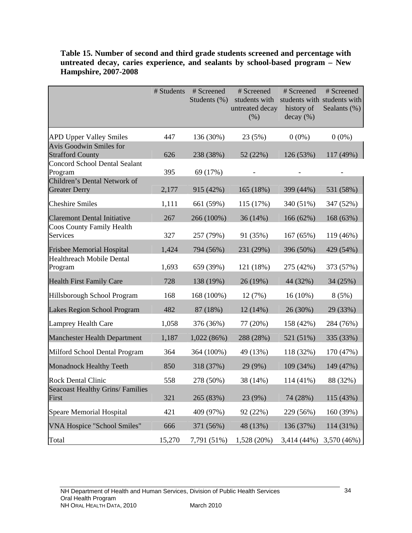|                                                           | # Students | # Screened<br>Students (%) | # Screened<br>students with<br>untreated decay<br>(% ) | # Screened<br>history of<br>decay (%) | # Screened<br>students with students with<br>Sealants (%) |
|-----------------------------------------------------------|------------|----------------------------|--------------------------------------------------------|---------------------------------------|-----------------------------------------------------------|
| <b>APD Upper Valley Smiles</b>                            | 447        | 136 (30%)                  | 23 (5%)                                                | $0(0\%)$                              | $0(0\%)$                                                  |
| <b>Avis Goodwin Smiles for</b><br><b>Strafford County</b> | 626        | 238 (38%)                  | 52 (22%)                                               | 126 (53%)                             | 117 (49%)                                                 |
| <b>Concord School Dental Sealant</b><br>Program           | 395        | 69 (17%)                   |                                                        |                                       |                                                           |
| Children's Dental Network of<br><b>Greater Derry</b>      | 2,177      | 915 (42%)                  | 165 (18%)                                              | 399 (44%)                             | 531 (58%)                                                 |
| <b>Cheshire Smiles</b>                                    | 1,111      | 661 (59%)                  | 115 (17%)                                              | 340 (51%)                             | 347 (52%)                                                 |
| <b>Claremont Dental Initiative</b>                        | 267        | 266 (100%)                 | 36(14%)                                                | 166 (62%)                             | 168 (63%)                                                 |
| <b>Coos County Family Health</b><br>Services              | 327        | 257 (79%)                  | 91 (35%)                                               | 167 (65%)                             | 119 (46%)                                                 |
| <b>Frisbee Memorial Hospital</b>                          | 1,424      | 794 (56%)                  | 231 (29%)                                              | 396 (50%)                             | 429 (54%)                                                 |
| <b>Healthreach Mobile Dental</b><br>Program               | 1,693      | 659 (39%)                  | 121 (18%)                                              | 275 (42%)                             | 373 (57%)                                                 |
| <b>Health First Family Care</b>                           | 728        | 138 (19%)                  | 26 (19%)                                               | 44 (32%)                              | 34 (25%)                                                  |
| Hillsborough School Program                               | 168        | 168 (100%)                 | 12(7%)                                                 | $16(10\%)$                            | 8(5%)                                                     |
| Lakes Region School Program                               | 482        | 87 (18%)                   | 12 (14%)                                               | 26 (30%)                              | 29 (33%)                                                  |
| <b>Lamprey Health Care</b>                                | 1,058      | 376 (36%)                  | 77 (20%)                                               | 158 (42%)                             | 284 (76%)                                                 |
| <b>Manchester Health Department</b>                       | 1,187      | 1,022(86%)                 | 288 (28%)                                              | 521 (51%)                             | 335 (33%)                                                 |
| Milford School Dental Program                             | 364        | 364 (100%)                 | 49 (13%)                                               | 118 (32%)                             | 170 (47%)                                                 |
| <b>Monadnock Healthy Teeth</b>                            | 850        | 318 (37%)                  | 29 (9%)                                                | 109 (34%)                             | 149 (47%)                                                 |
| <b>Rock Dental Clinic</b>                                 | 558        | 278 (50%)                  | 38 (14%)                                               | 114 (41%)                             | 88 (32%)                                                  |
| <b>Seacoast Healthy Grins/ Families</b><br>First          | 321        | 265 (83%)                  | 23 (9%)                                                | 74 (28%)                              | 115 (43%)                                                 |
| <b>Speare Memorial Hospital</b>                           | 421        | 409 (97%)                  | 92 (22%)                                               | 229 (56%)                             | 160 (39%)                                                 |
| <b>VNA Hospice "School Smiles"</b>                        | 666        | 371 (56%)                  | 48 (13%)                                               | 136 (37%)                             | 114 (31%)                                                 |
| Total                                                     | 15,270     | 7,791 (51%)                | 1,528 (20%)                                            | 3,414 (44%)                           | 3,570 (46%)                                               |

## **Table 15. Number of second and third grade students screened and percentage with untreated decay, caries experience, and sealants by school-based program – New Hampshire, 2007-2008**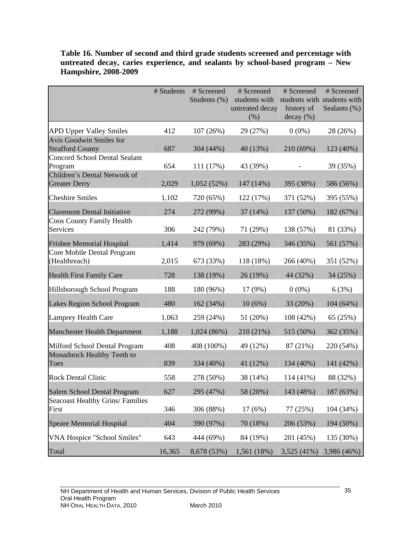|                                                           | # Students | # Screened   | # Screened              | # Screened              | # Screened                  |
|-----------------------------------------------------------|------------|--------------|-------------------------|-------------------------|-----------------------------|
|                                                           |            | Students (%) | students with           |                         | students with students with |
|                                                           |            |              | untreated decay<br>(% ) | history of<br>decay (%) | Sealants (%)                |
|                                                           |            |              |                         |                         |                             |
| <b>APD Upper Valley Smiles</b>                            | 412        | 107(26%)     | 29 (27%)                | $0(0\%)$                | 28 (26%)                    |
| <b>Avis Goodwin Smiles for</b><br><b>Strafford County</b> | 687        | 304 (44%)    | 40 (13%)                | 210 (69%)               | 123 (40%)                   |
| <b>Concord School Dental Sealant</b>                      |            |              |                         |                         |                             |
| Program                                                   | 654        | 111 (17%)    | 43 (39%)                |                         | 39 (35%)                    |
| Children's Dental Network of<br><b>Greater Derry</b>      | 2,029      | 1,052(52%)   | 147 (14%)               | 395 (38%)               | 586 (56%)                   |
|                                                           |            |              |                         |                         |                             |
| <b>Cheshire Smiles</b>                                    | 1,102      | 720 (65%)    | 122 (17%)               | 371 (52%)               | 395 (55%)                   |
| <b>Claremont Dental Initiative</b>                        | 274        | 272 (99%)    | 37 (14%)                | 137 (50%)               | 182 (67%)                   |
| <b>Coos County Family Health</b><br>Services              | 306        |              |                         | 138 (57%)               |                             |
|                                                           |            | 242 (79%)    | 71 (29%)                |                         | 81 (33%)                    |
| <b>Frisbee Memorial Hospital</b>                          | 1,414      | 979 (69%)    | 283 (29%)               | 346 (35%)               | 561 (57%)                   |
| Core Mobile Dental Program<br>(Healthreach)               | 2,015      | 673 (33%)    | 118 (18%)               | 266 (40%)               | 351 (52%)                   |
| <b>Health First Family Care</b>                           | 728        | 138 (19%)    | 26 (19%)                | 44 (32%)                | 34 (25%)                    |
| Hillsborough School Program                               | 188        | 180 (96%)    | 17(9%)                  | $0(0\%)$                | 6(3%)                       |
| Lakes Region School Program                               | 480        | 162 (34%)    | 10(6%)                  | 33 (20%)                | 104(64%)                    |
| <b>Lamprey Health Care</b>                                | 1,063      | 259 (24%)    | 51 (20%)                | 108 (42%)               | 65 (25%)                    |
| <b>Manchester Health Department</b>                       | 1,188      | 1,024(86%)   | 210 (21%)               | 515 (50%)               | 362 (35%)                   |
| Milford School Dental Program                             | 408        | 408 (100%)   | 49 (12%)                | 87 (21%)                | 220 (54%)                   |
| Monadnock Healthy Teeth to<br>Toes                        | 839        | 334 (40%)    | 41 (12%)                | 134 (40%)               | 141 (42%)                   |
| <b>Rock Dental Clinic</b>                                 | 558        | 278 (50%)    | 38 (14%)                | 114 (41%)               | 88 (32%)                    |
| Salem School Dental Program                               | 627        | 295 (47%)    | 58 (20%)                | 143 (48%)               | 187 (63%)                   |
| <b>Seacoast Healthy Grins/ Families</b><br>First          | 346        | 306 (88%)    | 17(6%)                  | 77 (25%)                | 104 (34%)                   |
| <b>Speare Memorial Hospital</b>                           | 404        | 390 (97%)    | 70 (18%)                | 206 (53%)               | 194 (50%)                   |
| VNA Hospice "School Smiles"                               | 643        | 444 (69%)    | 84 (19%)                | 201 (45%)               | 135 (30%)                   |
| Total                                                     | 16,365     | 8,678 (53%)  | 1,561 (18%)             |                         | 3,525 (41%) 3,986 (46%)     |

## **Table 16. Number of second and third grade students screened and percentage with untreated decay, caries experience, and sealants by school-based program – New Hampshire, 2008-2009**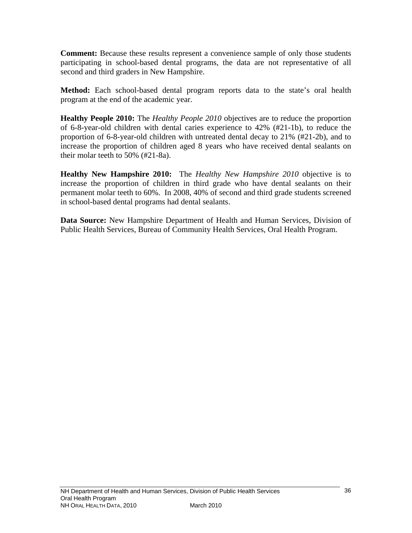**Comment:** Because these results represent a convenience sample of only those students participating in school-based dental programs, the data are not representative of all second and third graders in New Hampshire.

**Method:** Each school-based dental program reports data to the state's oral health program at the end of the academic year.

**Healthy People 2010:** The *Healthy People 2010* objectives are to reduce the proportion of 6-8-year-old children with dental caries experience to 42% (#21-1b), to reduce the proportion of 6-8-year-old children with untreated dental decay to 21% (#21-2b), and to increase the proportion of children aged 8 years who have received dental sealants on their molar teeth to 50% (#21-8a).

**Healthy New Hampshire 2010:** The *Healthy New Hampshire 2010* objective is to increase the proportion of children in third grade who have dental sealants on their permanent molar teeth to 60%. In 2008, 40% of second and third grade students screened in school-based dental programs had dental sealants.

**Data Source:** New Hampshire Department of Health and Human Services, Division of Public Health Services, Bureau of Community Health Services, Oral Health Program.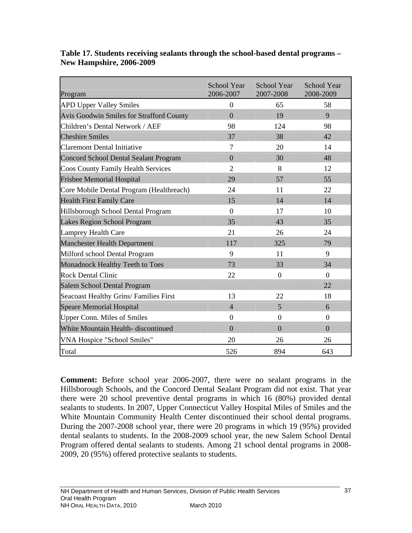| Program                                         | <b>School Year</b><br>2006-2007 | School Year<br>2007-2008 | School Year<br>2008-2009 |
|-------------------------------------------------|---------------------------------|--------------------------|--------------------------|
| <b>APD Upper Valley Smiles</b>                  | $\overline{0}$                  | 65                       | 58                       |
| <b>Avis Goodwin Smiles for Strafford County</b> | $\overline{0}$                  | 19                       | 9                        |
| Children's Dental Network / AEF                 | 98                              | 124                      | 98                       |
| <b>Cheshire Smiles</b>                          | 37                              | 38                       | 42                       |
| <b>Claremont Dental Initiative</b>              | 7                               | 20                       | 14                       |
| <b>Concord School Dental Sealant Program</b>    | $\overline{0}$                  | 30                       | 48                       |
| <b>Coos County Family Health Services</b>       | $\overline{2}$                  | 8                        | 12                       |
| <b>Frisbee Memorial Hospital</b>                | 29                              | 57                       | 55                       |
| Core Mobile Dental Program (Healthreach)        | 24                              | 11                       | 22                       |
| <b>Health First Family Care</b>                 | 15                              | 14                       | 14                       |
| Hillsborough School Dental Program              | $\overline{0}$                  | 17                       | 10                       |
| Lakes Region School Program                     | 35                              | 43                       | 35                       |
| Lamprey Health Care                             | 21                              | 26                       | 24                       |
| <b>Manchester Health Department</b>             | 117                             | 325                      | 79                       |
| Milford school Dental Program                   | 9                               | 11                       | 9                        |
| Monadnock Healthy Teeth to Toes                 | 73                              | 33                       | 34                       |
| <b>Rock Dental Clinic</b>                       | 22                              | $\overline{0}$           | $\Omega$                 |
| Salem School Dental Program                     |                                 |                          | 22                       |
| Seacoast Healthy Grins/ Families First          | 13                              | 22                       | 18                       |
| <b>Speare Memorial Hospital</b>                 | $\overline{4}$                  | 5                        | 6                        |
| <b>Upper Conn. Miles of Smiles</b>              | $\overline{0}$                  | $\overline{0}$           | $\overline{0}$           |
| White Mountain Health- discontinued             | $\overline{0}$                  | $\overline{0}$           | $\overline{0}$           |
| VNA Hospice "School Smiles"                     | 20                              | 26                       | 26                       |
| Total                                           | 526                             | 894                      | 643                      |

**Table 17. Students receiving sealants through the school-based dental programs – New Hampshire, 2006-2009** 

**Comment:** Before school year 2006-2007, there were no sealant programs in the Hillsborough Schools, and the Concord Dental Sealant Program did not exist. That year there were 20 school preventive dental programs in which 16 (80%) provided dental sealants to students. In 2007, Upper Connecticut Valley Hospital Miles of Smiles and the White Mountain Community Health Center discontinued their school dental programs. During the 2007-2008 school year, there were 20 programs in which 19 (95%) provided dental sealants to students. In the 2008-2009 school year, the new Salem School Dental Program offered dental sealants to students. Among 21 school dental programs in 2008- 2009, 20 (95%) offered protective sealants to students.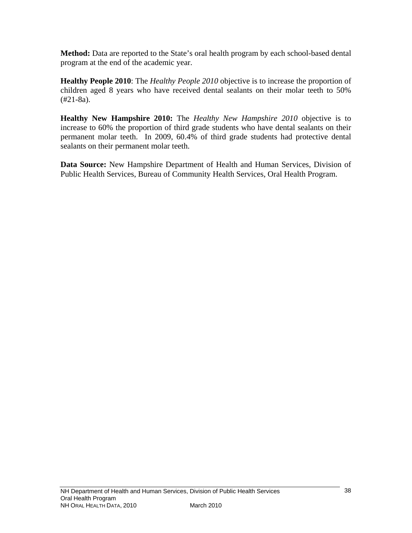**Method:** Data are reported to the State's oral health program by each school-based dental program at the end of the academic year.

**Healthy People 2010**: The *Healthy People 2010* objective is to increase the proportion of children aged 8 years who have received dental sealants on their molar teeth to 50%  $(#21-8a).$ 

**Healthy New Hampshire 2010:** The *Healthy New Hampshire 2010* objective is to increase to 60% the proportion of third grade students who have dental sealants on their permanent molar teeth. In 2009, 60.4% of third grade students had protective dental sealants on their permanent molar teeth.

**Data Source:** New Hampshire Department of Health and Human Services, Division of Public Health Services, Bureau of Community Health Services, Oral Health Program.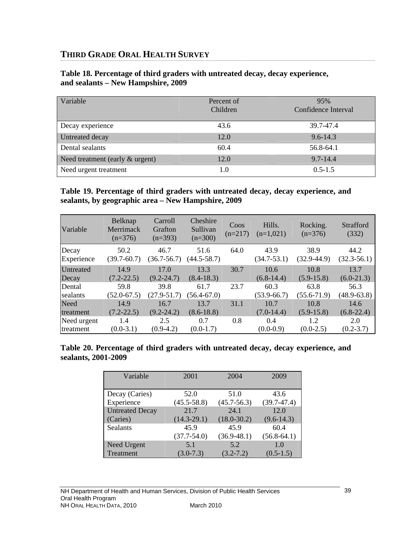# **THIRD GRADE ORAL HEALTH SURVEY**

| Variable                           | Percent of<br>Children | 95%<br>Confidence Interval |
|------------------------------------|------------------------|----------------------------|
| Decay experience                   | 43.6                   | 39.7-47.4                  |
| Untreated decay                    | 12.0                   | $9.6 - 14.3$               |
| Dental sealants                    | 60.4                   | 56.8-64.1                  |
| Need treatment (early $\&$ urgent) | 12.0                   | $9.7 - 14.4$               |
| Need urgent treatment              | 1.0                    | $0.5 - 1.5$                |

#### **Table 18. Percentage of third graders with untreated decay, decay experience, and sealants – New Hampshire, 2009**

#### **Table 19. Percentage of third graders with untreated decay, decay experience, and sealants, by geographic area – New Hampshire, 2009**

| Variable    | Belknap<br>Merrimack<br>$(n=376)$ | Carroll<br>Grafton<br>$(n=393)$ | Cheshire<br>Sullivan<br>$(n=300)$ | Coos<br>$(n=217)$ | Hills.<br>$(n=1,021)$ | Rocking.<br>$(n=376)$ | Strafford<br>(332) |
|-------------|-----------------------------------|---------------------------------|-----------------------------------|-------------------|-----------------------|-----------------------|--------------------|
| Decay       | 50.2                              | 46.7                            | 51.6                              | 64.0              | 43.9                  | 38.9                  | 44.2               |
| Experience  | $(39.7 - 60.7)$                   | $(36.7 - 56.7)$                 | $(44.5 - 58.7)$                   |                   | $(34.7 - 53.1)$       | $(32.9 - 44.9)$       | $(32.3-56.1)$      |
| Untreated   | 14.9                              | 17.0                            | 13.3                              | 30.7              | 10.6                  | 10.8                  | 13.7               |
| Decay       | $(7.2 - 22.5)$                    | $(9.2 - 24.7)$                  | $(8.4 - 18.3)$                    |                   | $(6.8-14.4)$          | $(5.9-15.8)$          | $(6.0-21.3)$       |
| Dental      | 59.8                              | 39.8                            | 61.7                              | 23.7              | 60.3                  | 63.8                  | 56.3               |
| sealants    | $(52.0 - 67.5)$                   | $(27.9 - 51.7)$                 | $(56.4 - 67.0)$                   |                   | $(53.9 - 66.7)$       | $(55.6 - 71.9)$       | $(48.9 - 63.8)$    |
| Need        | 14.9                              | 16.7                            | 13.7                              | 31.1              | 10.7                  | 10.8                  | 14.6               |
| treatment   | $(7.2 - 22.5)$                    | $(9.2 - 24.2)$                  | $(8.6 - 18.8)$                    |                   | $(7.0-14.4)$          | $(5.9-15.8)$          | $(6.8-22.4)$       |
| Need urgent | 1.4                               | 2.5                             | 0.7                               | 0.8               | 0.4                   | 1.2                   | 2.0                |
| treatment   | $(0.0-3.1)$                       | $(0.9-4.2)$                     | $(0.0-1.7)$                       |                   | $(0.0-0.9)$           | $(0.0-2.5)$           | $(0.2 - 3.7)$      |

#### **Table 20. Percentage of third graders with untreated decay, decay experience, and sealants, 2001-2009**

| Variable               | 2001            | 2004            | 2009            |
|------------------------|-----------------|-----------------|-----------------|
|                        |                 |                 |                 |
| Decay (Caries)         | 52.0            | 51.0            | 43.6            |
| Experience             | $(45.5 - 58.8)$ | $(45.7 - 56.3)$ | $(39.7 - 47.4)$ |
| <b>Untreated Decay</b> | 21.7            | 24.1            | 12.0            |
| (Caries)               | $(14.3 - 29.1)$ | $(18.0 - 30.2)$ | $(9.6 - 14.3)$  |
| <b>Sealants</b>        | 45.9            | 45.9            | 60.4            |
|                        | $(37.7 - 54.0)$ | $(36.9 - 48.1)$ | $(56.8-64.1)$   |
| Need Urgent            | 5.1             | 5.2             | 1.0             |
| Treatment              | $(3.0 - 7.3)$   | $(3.2 - 7.2)$   | $(0.5-1.5)$     |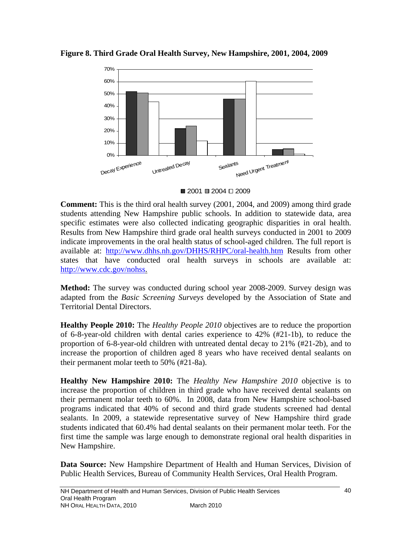

**Figure 8. Third Grade Oral Health Survey, New Hampshire, 2001, 2004, 2009** 



**Comment:** This is the third oral health survey (2001, 2004, and 2009) among third grade students attending New Hampshire public schools. In addition to statewide data, area specific estimates were also collected indicating geographic disparities in oral health. Results from New Hampshire third grade oral health surveys conducted in 2001 to 2009 indicate improvements in the oral health status of school-aged children. The full report is available at: <http://www.dhhs.nh.gov/DHHS/RHPC/oral-health.htm> Results from other states that have conducted oral health surveys in schools are available at: <http://www.cdc.gov/nohss>.

**Method:** The survey was conducted during school year 2008-2009. Survey design was adapted from the *Basic Screening Surveys* developed by the Association of State and Territorial Dental Directors.

**Healthy People 2010:** The *Healthy People 2010* objectives are to reduce the proportion of 6-8-year-old children with dental caries experience to 42% (#21-1b), to reduce the proportion of 6-8-year-old children with untreated dental decay to 21% (#21-2b), and to increase the proportion of children aged 8 years who have received dental sealants on their permanent molar teeth to 50% (#21-8a).

**Healthy New Hampshire 2010:** The *Healthy New Hampshire 2010* objective is to increase the proportion of children in third grade who have received dental sealants on their permanent molar teeth to 60%.In 2008, data from New Hampshire school-based programs indicated that 40% of second and third grade students screened had dental sealants. In 2009, a statewide representative survey of New Hampshire third grade students indicated that 60.4% had dental sealants on their permanent molar teeth. For the first time the sample was large enough to demonstrate regional oral health disparities in New Hampshire.

**Data Source:** New Hampshire Department of Health and Human Services, Division of Public Health Services, Bureau of Community Health Services, Oral Health Program.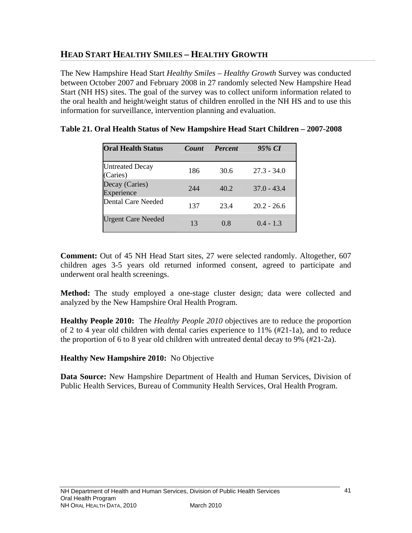# **HEAD START HEALTHY SMILES – HEALTHY GROWTH**

The New Hampshire Head Start *Healthy Smiles – Healthy Growth* Survey was conducted between October 2007 and February 2008 in 27 randomly selected New Hampshire Head Start (NH HS) sites. The goal of the survey was to collect uniform information related to the oral health and height/weight status of children enrolled in the NH HS and to use this information for surveillance, intervention planning and evaluation.

| <b>Oral Health Status</b>          | <b>Count</b> | <b>Percent</b> | 95% CI        |
|------------------------------------|--------------|----------------|---------------|
| <b>Untreated Decay</b><br>(Caries) | 186          | 30.6           | $27.3 - 34.0$ |
| Decay (Caries)<br>Experience       | 244          | 40.2           | $37.0 - 43.4$ |
| Dental Care Needed                 | 137          | 23.4           | $20.2 - 26.6$ |
| <b>Urgent Care Needed</b>          | 13           | 0.8            | $0.4 - 1.3$   |

#### **Table 21. Oral Health Status of New Hampshire Head Start Children – 2007-2008**

**Comment:** Out of 45 NH Head Start sites, 27 were selected randomly. Altogether, 607 children ages 3-5 years old returned informed consent, agreed to participate and underwent oral health screenings.

**Method:** The study employed a one-stage cluster design; data were collected and analyzed by the New Hampshire Oral Health Program.

**Healthy People 2010:** The *Healthy People 2010* objectives are to reduce the proportion of 2 to 4 year old children with dental caries experience to 11% (#21-1a), and to reduce the proportion of 6 to 8 year old children with untreated dental decay to 9% (#21-2a).

#### **Healthy New Hampshire 2010:** No Objective

**Data Source:** New Hampshire Department of Health and Human Services, Division of Public Health Services, Bureau of Community Health Services, Oral Health Program.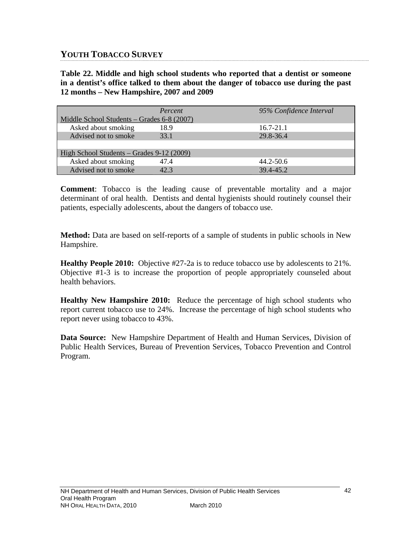# **YOUTH TOBACCO SURVEY**

**Table 22. Middle and high school students who reported that a dentist or someone in a dentist's office talked to them about the danger of tobacco use during the past 12 months – New Hampshire, 2007 and 2009** 

|                                            | Percent | 95% Confidence Interval |  |  |  |  |  |
|--------------------------------------------|---------|-------------------------|--|--|--|--|--|
| Middle School Students – Grades 6-8 (2007) |         |                         |  |  |  |  |  |
| Asked about smoking                        | 18.9    | $16.7 - 21.1$           |  |  |  |  |  |
| Advised not to smoke                       | 33.1    | 29.8-36.4               |  |  |  |  |  |
|                                            |         |                         |  |  |  |  |  |
| High School Students – Grades 9-12 (2009)  |         |                         |  |  |  |  |  |
| Asked about smoking                        | 47.4    | $44.2 - 50.6$           |  |  |  |  |  |
| Advised not to smoke                       | 42.3    | 39.4-45.2               |  |  |  |  |  |

**Comment**: Tobacco is the leading cause of preventable mortality and a major determinant of oral health. Dentists and dental hygienists should routinely counsel their patients, especially adolescents, about the dangers of tobacco use.

**Method:** Data are based on self-reports of a sample of students in public schools in New Hampshire.

**Healthy People 2010:** Objective #27-2a is to reduce tobacco use by adolescents to 21%. Objective #1-3 is to increase the proportion of people appropriately counseled about health behaviors.

**Healthy New Hampshire 2010:** Reduce the percentage of high school students who report current tobacco use to 24%. Increase the percentage of high school students who report never using tobacco to 43%.

**Data Source:** New Hampshire Department of Health and Human Services, Division of Public Health Services, Bureau of Prevention Services, Tobacco Prevention and Control Program.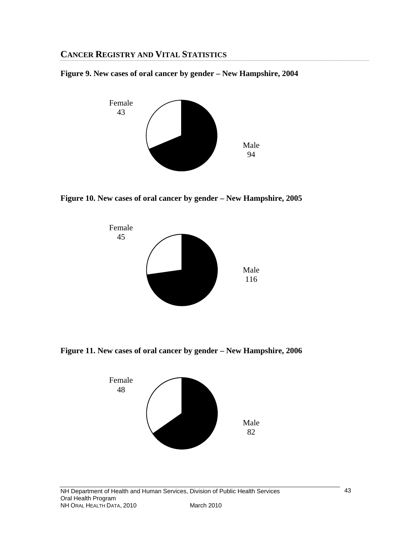# **CANCER REGISTRY AND VITAL STATISTICS**

**Figure 9. New cases of oral cancer by gender – New Hampshire, 2004** 



**Figure 10. New cases of oral cancer by gender – New Hampshire, 2005** 



**Figure 11. New cases of oral cancer by gender – New Hampshire, 2006** 

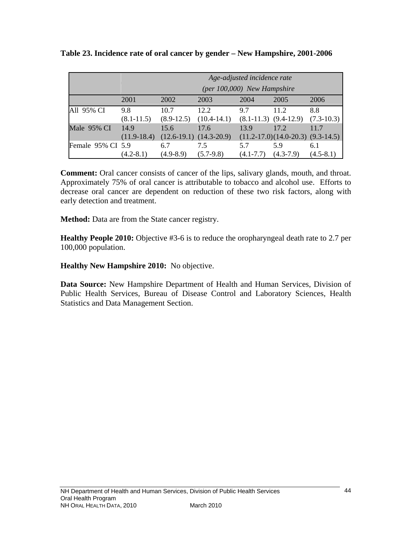|                   | Age-adjusted incidence rate<br>(per 100,000) New Hampshire |                      |                                     |                      |                                               |                     |  |
|-------------------|------------------------------------------------------------|----------------------|-------------------------------------|----------------------|-----------------------------------------------|---------------------|--|
|                   | 2001                                                       | 2002                 | 2003                                | 2004                 | 2005                                          | 2006                |  |
| All 95% CI        | 9.8<br>$(8.1 - 11.5)$                                      | 10.7<br>$(8.9-12.5)$ | 12.2<br>$(10.4 - 14.1)$             | 9.7                  | 11.2<br>$(8.1-11.3)$ $(9.4-12.9)$             | 8.8<br>$(7.3-10.3)$ |  |
| Male 95% CI       | 14.9<br>$(11.9-18.4)$                                      | 15.6                 | 17.6<br>$(12.6-19.1)$ $(14.3-20.9)$ | 13.9                 | 17.2<br>$(11.2-17.0)(14.0-20.3)$ $(9.3-14.5)$ | 11.7                |  |
| Female 95% CI 5.9 | $(4.2 - 8.1)$                                              | 6.7<br>$(4.9 - 8.9)$ | 7.5<br>$(5.7-9.8)$                  | 5.7<br>$(4.1 - 7.7)$ | 5.9<br>$(4.3-7.9)$                            | 6.1<br>$(4.5-8.1)$  |  |

**Table 23. Incidence rate of oral cancer by gender – New Hampshire, 2001-2006** 

**Comment:** Oral cancer consists of cancer of the lips, salivary glands, mouth, and throat. Approximately 75% of oral cancer is attributable to tobacco and alcohol use. Efforts to decrease oral cancer are dependent on reduction of these two risk factors, along with early detection and treatment.

**Method:** Data are from the State cancer registry.

**Healthy People 2010:** Objective #3-6 is to reduce the oropharyngeal death rate to 2.7 per 100,000 population.

**Healthy New Hampshire 2010:** No objective.

**Data Source:** New Hampshire Department of Health and Human Services, Division of Public Health Services, Bureau of Disease Control and Laboratory Sciences, Health Statistics and Data Management Section.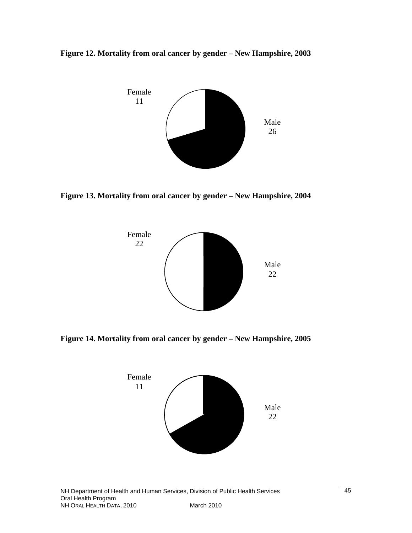



**Figure 13. Mortality from oral cancer by gender – New Hampshire, 2004**



**Figure 14. Mortality from oral cancer by gender – New Hampshire, 2005**

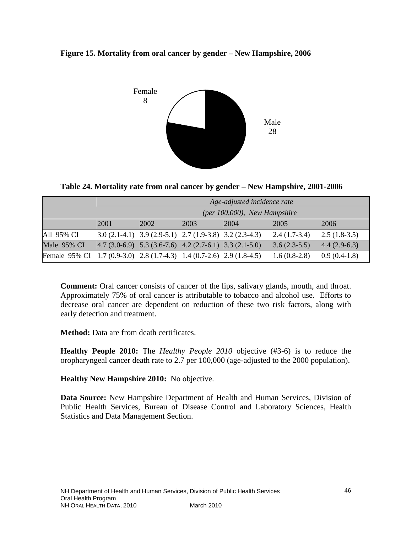



**Table 24. Mortality rate from oral cancer by gender – New Hampshire, 2001-2006** 

|                                                                       | Age-adjusted incidence rate<br>(per 100,000), New Hampshire |                                                                 |      |      |                |                |  |
|-----------------------------------------------------------------------|-------------------------------------------------------------|-----------------------------------------------------------------|------|------|----------------|----------------|--|
|                                                                       | 2001                                                        | 2002                                                            | 2003 | 2004 | 2005           | 2006           |  |
| All 95% CI                                                            |                                                             | 3.0 $(2.1-4.1)$ 3.9 $(2.9-5.1)$ 2.7 $(1.9-3.8)$ 3.2 $(2.3-4.3)$ |      |      | $2.4(1.7-3.4)$ | $2.5(1.8-3.5)$ |  |
| Male 95% CI                                                           |                                                             | 4.7 $(3.0-6.9)$ 5.3 $(3.6-7.6)$ 4.2 $(2.7-6.1)$ 3.3 $(2.1-5.0)$ |      |      | $3.6(2.3-5.5)$ | $4.4(2.9-6.3)$ |  |
| Female 95% CI 1.7 (0.9-3.0) 2.8 (1.7-4.3) 1.4 (0.7-2.6) 2.9 (1.8-4.5) |                                                             |                                                                 |      |      | $1.6(0.8-2.8)$ | $0.9(0.4-1.8)$ |  |

**Comment:** Oral cancer consists of cancer of the lips, salivary glands, mouth, and throat. Approximately 75% of oral cancer is attributable to tobacco and alcohol use. Efforts to decrease oral cancer are dependent on reduction of these two risk factors, along with early detection and treatment.

**Method:** Data are from death certificates.

**Healthy People 2010:** The *Healthy People 2010* objective (#3-6) is to reduce the oropharyngeal cancer death rate to 2.7 per 100,000 (age-adjusted to the 2000 population).

# **Healthy New Hampshire 2010:** No objective.

**Data Source:** New Hampshire Department of Health and Human Services, Division of Public Health Services, Bureau of Disease Control and Laboratory Sciences, Health Statistics and Data Management Section.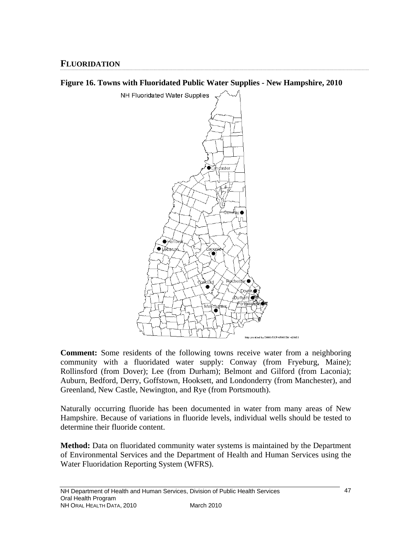# **FLUORIDATION**





**Comment:** Some residents of the following towns receive water from a neighboring community with a fluoridated water supply: Conway (from Fryeburg, Maine); Rollinsford (from Dover); Lee (from Durham); Belmont and Gilford (from Laconia); Auburn, Bedford, Derry, Goffstown, Hooksett, and Londonderry (from Manchester), and Greenland, New Castle, Newington, and Rye (from Portsmouth).

Naturally occurring fluoride has been documented in water from many areas of New Hampshire. Because of variations in fluoride levels, individual wells should be tested to determine their fluoride content.

**Method:** Data on fluoridated community water systems is maintained by the Department of Environmental Services and the Department of Health and Human Services using the Water Fluoridation Reporting System (WFRS).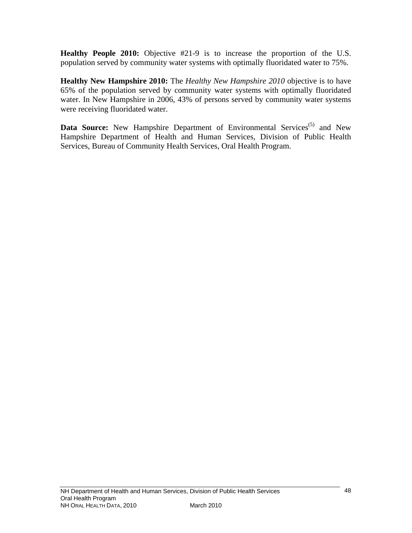**Healthy People 2010:** Objective #21-9 is to increase the proportion of the U.S. population served by community water systems with optimally fluoridated water to 75%.

**Healthy New Hampshire 2010:** The *Healthy New Hampshire 2010* objective is to have 65% of the population served by community water systems with optimally fluoridated water. In New Hampshire in 2006, 43% of persons served by community water systems were receiving fluoridated water.

**Data Source:** New Hampshire Department of Environmental Services<sup>(5)</sup> and New Hampshire Department of Health and Human Services, Division of Public Health Services, Bureau of Community Health Services, Oral Health Program.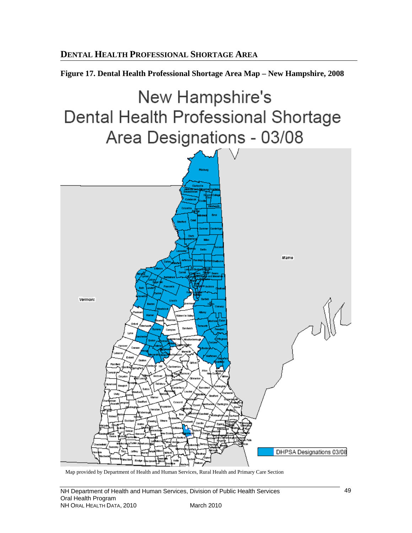**Figure 17. Dental Health Professional Shortage Area Map – New Hampshire, 2008** 



Map provided by Department of Health and Human Services, Rural Health and Primary Care Section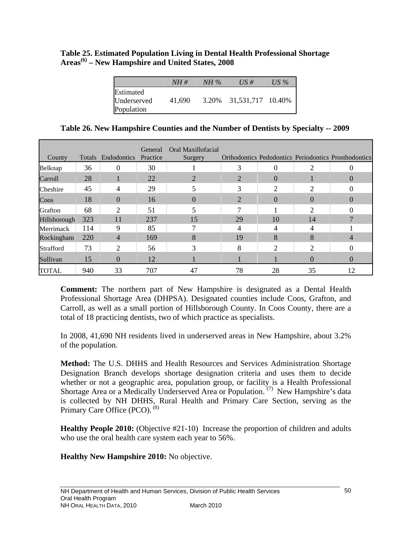**Table 25. Estimated Population Living in Dental Health Professional Shortage Areas(6) – New Hampshire and United States, 2008** 

|                                        | NH#    | $NH\%$ | $\overline{US}$ #       | US % |
|----------------------------------------|--------|--------|-------------------------|------|
| Estimated<br>Underserved<br>Population | 41,690 |        | 3.20% 31,531,717 10.40% |      |

**Table 26. New Hampshire Counties and the Number of Dentists by Specialty -- 2009** 

| County       | <b>Totals</b> | Endodontics | General<br>Practice | Oral Maxillofacial<br>Surgery |                |          |                             | Orthodontics Pedodontics Periodontics Prosthodontics |
|--------------|---------------|-------------|---------------------|-------------------------------|----------------|----------|-----------------------------|------------------------------------------------------|
| Belknap      | 36            | 0           | 30                  |                               | 3              | 0        | ◠                           |                                                      |
| Carroll      | 28            |             | 22                  | 2                             | 2              | 0        |                             | $\mathbf{0}$                                         |
| Cheshire     | 45            | 4           | 29                  | 5                             | 3              | 2        | $\mathcal{D}_{\mathcal{L}}$ |                                                      |
| Coos         | 18            | $\Omega$    | 16                  | $\theta$                      | $\overline{2}$ | $\Omega$ | $\Omega$                    | $\mathbf{0}$                                         |
| Grafton      | 68            | 2           | 51                  |                               |                |          | ာ                           |                                                      |
| Hillsborough | 323           | 11          | 237                 | 15                            | 29             | 10       | 14                          |                                                      |
| Merrimack    | 114           | 9           | 85                  |                               |                |          |                             |                                                      |
| Rockingham   | 220           | 4           | 169                 | 8                             | 19             | 8        | 8                           |                                                      |
| Strafford    | 73            | 2           | 56                  | 3                             | 8              | ∍        | ി                           |                                                      |
| Sullivan     | 15            | 0           | 12                  |                               |                |          | 0                           |                                                      |
| <b>TOTAL</b> | 940           | 33          | 707                 | 47                            | 78             | 28       | 35                          | 12                                                   |

**Comment:** The northern part of New Hampshire is designated as a Dental Health Professional Shortage Area (DHPSA). Designated counties include Coos, Grafton, and Carroll, as well as a small portion of Hillsborough County. In Coos County, there are a total of 18 practicing dentists, two of which practice as specialists.

In 2008, 41,690 NH residents lived in underserved areas in New Hampshire, about 3.2% of the population.

**Method:** The U.S. DHHS and Health Resources and Services Administration Shortage Designation Branch develops shortage designation criteria and uses them to decide whether or not a geographic area, population group, or facility is a Health Professional Shortage Area or a Medically Underserved Area or Population.<sup>(7)</sup> New Hampshire's data is collected by NH DHHS, Rural Health and Primary Care Section, serving as the Primary Care Office (PCO). <sup>(8)</sup>

**Healthy People 2010:** (Objective #21-10)Increase the proportion of children and adults who use the oral health care system each year to 56%.

**Healthy New Hampshire 2010:** No objective.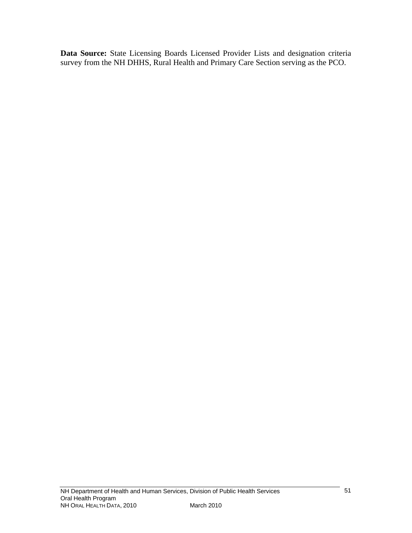**Data Source:** State Licensing Boards Licensed Provider Lists and designation criteria survey from the NH DHHS, Rural Health and Primary Care Section serving as the PCO.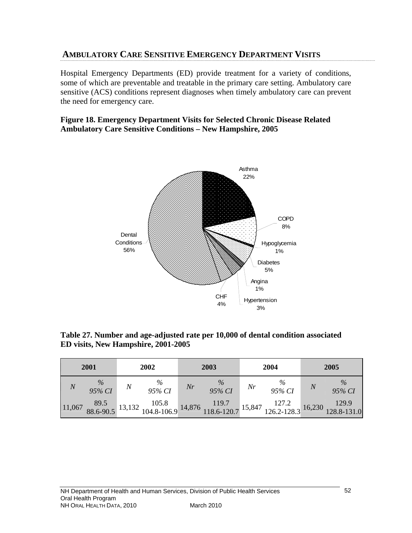# **AMBULATORY CARE SENSITIVE EMERGENCY DEPARTMENT VISITS**

Hospital Emergency Departments (ED) provide treatment for a variety of conditions, some of which are preventable and treatable in the primary care setting. Ambulatory care sensitive (ACS) conditions represent diagnoses when timely ambulatory care can prevent the need for emergency care.

#### **Figure 18. Emergency Department Visits for Selected Chronic Disease Related Ambulatory Care Sensitive Conditions – New Hampshire, 2005**



**Table 27. Number and age-adjusted rate per 10,000 of dental condition associated ED visits, New Hampshire, 2001-2005** 

|                | 2001           | 2002           |    | 2003           |    | 2004           |                | 2005           |
|----------------|----------------|----------------|----|----------------|----|----------------|----------------|----------------|
| $\overline{N}$ | $\%$<br>95% CI | $\%$<br>95% CI | Nr | $\%$<br>95% CI | Nr | $\%$<br>95% CI | $\overline{N}$ | $\%$<br>95% CI |
|                |                |                |    |                |    |                |                |                |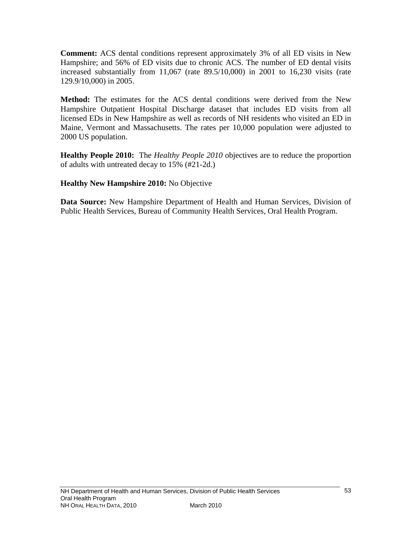**Comment:** ACS dental conditions represent approximately 3% of all ED visits in New Hampshire; and 56% of ED visits due to chronic ACS. The number of ED dental visits increased substantially from 11,067 (rate 89.5/10,000) in 2001 to 16,230 visits (rate 129.9/10,000) in 2005.

**Method:** The estimates for the ACS dental conditions were derived from the New Hampshire Outpatient Hospital Discharge dataset that includes ED visits from all licensed EDs in New Hampshire as well as records of NH residents who visited an ED in Maine, Vermont and Massachusetts. The rates per 10,000 population were adjusted to 2000 US population.

**Healthy People 2010:** The *Healthy People 2010* objectives are to reduce the proportion of adults with untreated decay to 15% (#21-2d.)

**Healthy New Hampshire 2010:** No Objective

**Data Source:** New Hampshire Department of Health and Human Services, Division of Public Health Services, Bureau of Community Health Services, Oral Health Program.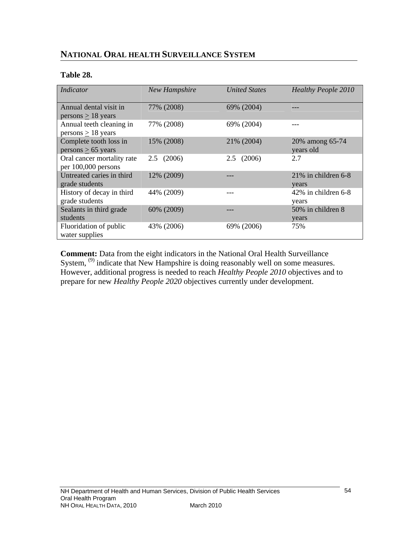# **NATIONAL ORAL HEALTH SURVEILLANCE SYSTEM**

#### **Table 28.**

| Indicator                  | <b>New Hampshire</b> | <b>United States</b> | <b>Healthy People 2010</b> |
|----------------------------|----------------------|----------------------|----------------------------|
|                            |                      |                      |                            |
| Annual dental visit in     | 77% (2008)           | 69% (2004)           | ---                        |
| $persons > 18$ years       |                      |                      |                            |
| Annual teeth cleaning in   | 77% (2008)           | 69% (2004)           |                            |
| persons $\geq$ 18 years    |                      |                      |                            |
| Complete tooth loss in     | 15% (2008)           | 21% (2004)           | 20% among 65-74            |
| $persons > 65$ years       |                      |                      | years old                  |
| Oral cancer mortality rate | 2.5(2006)            | (2006)<br>2.5        | 2.7                        |
| per 100,000 persons        |                      |                      |                            |
| Untreated caries in third  | 12% (2009)           |                      | $21\%$ in children 6-8     |
| grade students             |                      |                      | years                      |
| History of decay in third  | 44% (2009)           |                      | $42\%$ in children 6-8     |
| grade students             |                      |                      | years                      |
| Sealants in third grade    | 60% (2009)           |                      | 50% in children 8          |
| students                   |                      |                      | years                      |
| Fluoridation of public     | 43% (2006)           | 69% (2006)           | 75%                        |
| water supplies             |                      |                      |                            |

**Comment:** Data from the eight indicators in the National Oral Health Surveillance System, <sup>(9)</sup> indicate that New Hampshire is doing reasonably well on some measures. However, additional progress is needed to reach *Healthy People 2010* objectives and to prepare for new *Healthy People 2020* objectives currently under development.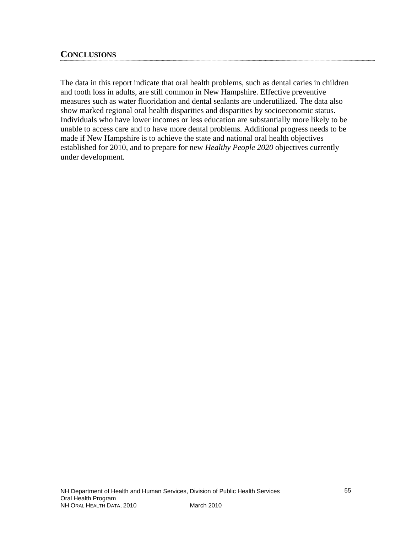## **CONCLUSIONS**

The data in this report indicate that oral health problems, such as dental caries in children and tooth loss in adults, are still common in New Hampshire. Effective preventive measures such as water fluoridation and dental sealants are underutilized. The data also show marked regional oral health disparities and disparities by socioeconomic status. Individuals who have lower incomes or less education are substantially more likely to be unable to access care and to have more dental problems. Additional progress needs to be made if New Hampshire is to achieve the state and national oral health objectives established for 2010, and to prepare for new *Healthy People 2020* objectives currently under development.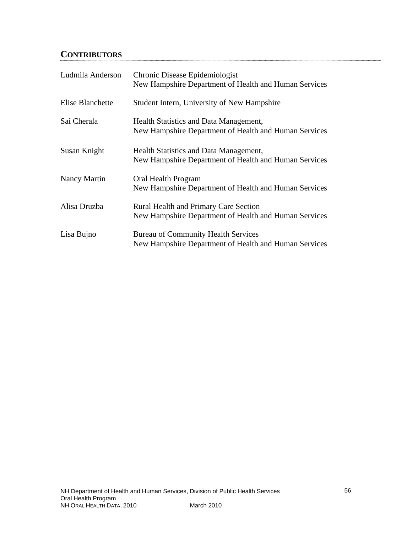# **CONTRIBUTORS**

| Ludmila Anderson | Chronic Disease Epidemiologist<br>New Hampshire Department of Health and Human Services               |
|------------------|-------------------------------------------------------------------------------------------------------|
| Elise Blanchette | Student Intern, University of New Hampshire                                                           |
| Sai Cherala      | Health Statistics and Data Management,<br>New Hampshire Department of Health and Human Services       |
| Susan Knight     | Health Statistics and Data Management,<br>New Hampshire Department of Health and Human Services       |
| Nancy Martin     | Oral Health Program<br>New Hampshire Department of Health and Human Services                          |
| Alisa Druzba     | <b>Rural Health and Primary Care Section</b><br>New Hampshire Department of Health and Human Services |
| Lisa Bujno       | <b>Bureau of Community Health Services</b><br>New Hampshire Department of Health and Human Services   |